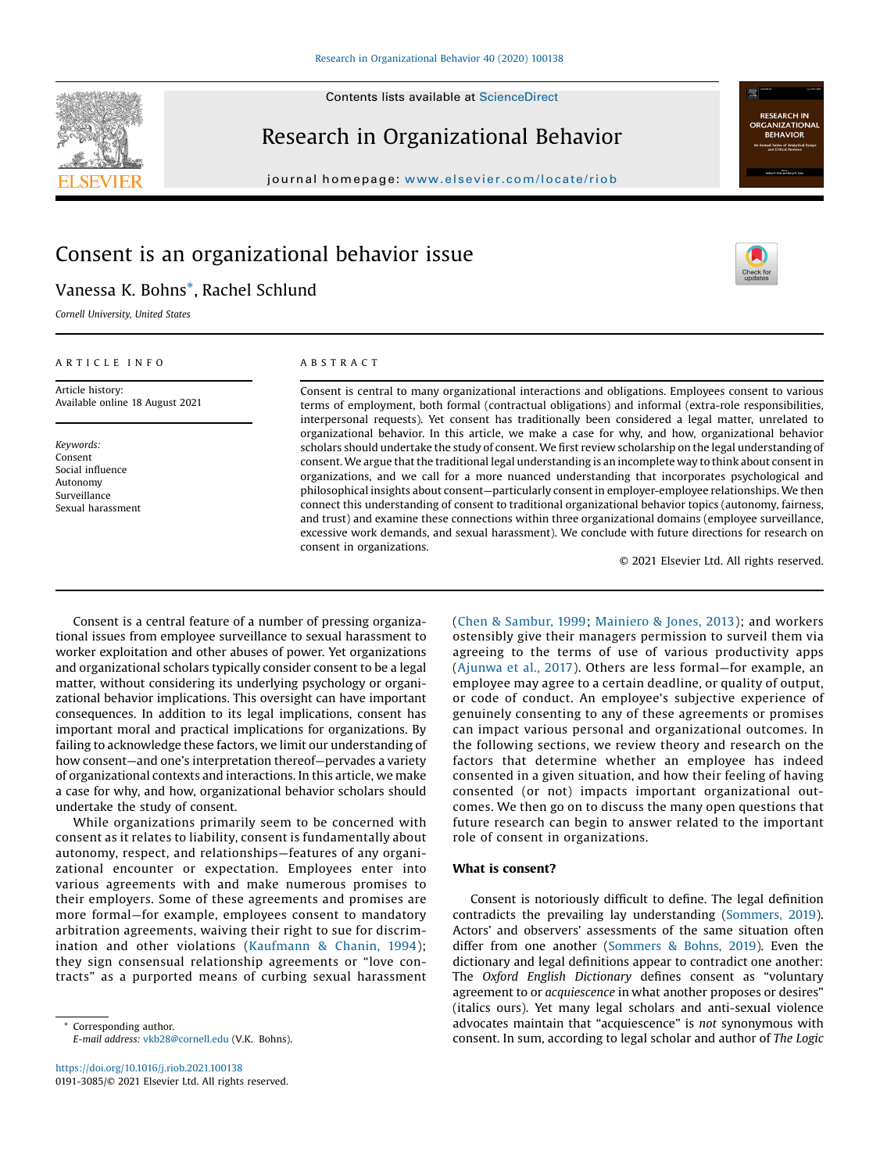

# Research in Organizational Behavior

journal homepage: <www.elsevier.com/locate/riob>

# Consent is an organizational behavior issue

## Vanessa K. Bohns\*, Rachel Schlund

Cornell University, United States

### A R T I C L E I N F O

Article history: Available online 18 August 2021

Keywords: Consent Social influence Autonomy Surveillance Sexual harassment

## A B S T R A C T

Consent is central to many organizational interactions and obligations. Employees consent to various terms of employment, both formal (contractual obligations) and informal (extra-role responsibilities, interpersonal requests). Yet consent has traditionally been considered a legal matter, unrelated to organizational behavior. In this article, we make a case for why, and how, organizational behavior scholars should undertake the study of consent. We first review scholarship on the legal understanding of consent. We argue that the traditional legal understanding is an incomplete way to think about consent in organizations, and we call for a more nuanced understanding that incorporates psychological and philosophical insights about consent—particularly consent in employer-employee relationships. We then connect this understanding of consent to traditional organizational behavior topics (autonomy, fairness, and trust) and examine these connections within three organizational domains (employee surveillance, excessive work demands, and sexual harassment). We conclude with future directions for research on consent in organizations.

© 2021 Elsevier Ltd. All rights reserved.

**RESEARCH IN NIZATIC BEHAVIOR** 

Consent is a central feature of a number of pressing organizational issues from employee surveillance to sexual harassment to worker exploitation and other abuses of power. Yet organizations and organizational scholars typically consider consent to be a legal matter, without considering its underlying psychology or organizational behavior implications. This oversight can have important consequences. In addition to its legal implications, consent has important moral and practical implications for organizations. By failing to acknowledge these factors, we limit our understanding of how consent—and one's interpretation thereof—pervades a variety of organizational contexts and interactions. In this article, we make a case for why, and how, organizational behavior scholars should undertake the study of consent.

While organizations primarily seem to be concerned with consent as it relates to liability, consent is fundamentally about autonomy, respect, and relationships—features of any organizational encounter or expectation. Employees enter into various agreements with and make numerous promises to their employers. Some of these agreements and promises are more formal—for example, employees consent to mandatory arbitration agreements, waiving their right to sue for discrimination and other violations ([Kaufmann](#page-12-0) & Chanin, 1994); they sign consensual relationship agreements or "love contracts" as a purported means of curbing sexual harassment

Corresponding author. E-mail address: [vkb28@cornell.edu](mailto:vkb28@cornell.edu) (V.K. Bohns). (Chen & [Sambur,](#page-12-0) 1999; [Mainiero](#page-13-0) & Jones, 2013); and workers ostensibly give their managers permission to surveil them via agreeing to the terms of use of various productivity apps ([Ajunwa](#page-11-0) et al., 2017). Others are less formal—for example, an employee may agree to a certain deadline, or quality of output, or code of conduct. An employee's subjective experience of genuinely consenting to any of these agreements or promises can impact various personal and organizational outcomes. In the following sections, we review theory and research on the factors that determine whether an employee has indeed consented in a given situation, and how their feeling of having consented (or not) impacts important organizational outcomes. We then go on to discuss the many open questions that future research can begin to answer related to the important role of consent in organizations.

### What is consent?

Consent is notoriously difficult to define. The legal definition contradicts the prevailing lay understanding ([Sommers,](#page-13-0) 2019). Actors' and observers' assessments of the same situation often differ from one another ([Sommers](#page-13-0) & Bohns, 2019). Even the dictionary and legal definitions appear to contradict one another: The Oxford English Dictionary defines consent as "voluntary agreement to or acquiescence in what another proposes or desires" (italics ours). Yet many legal scholars and anti-sexual violence advocates maintain that "acquiescence" is not synonymous with consent. In sum, according to legal scholar and author of The Logic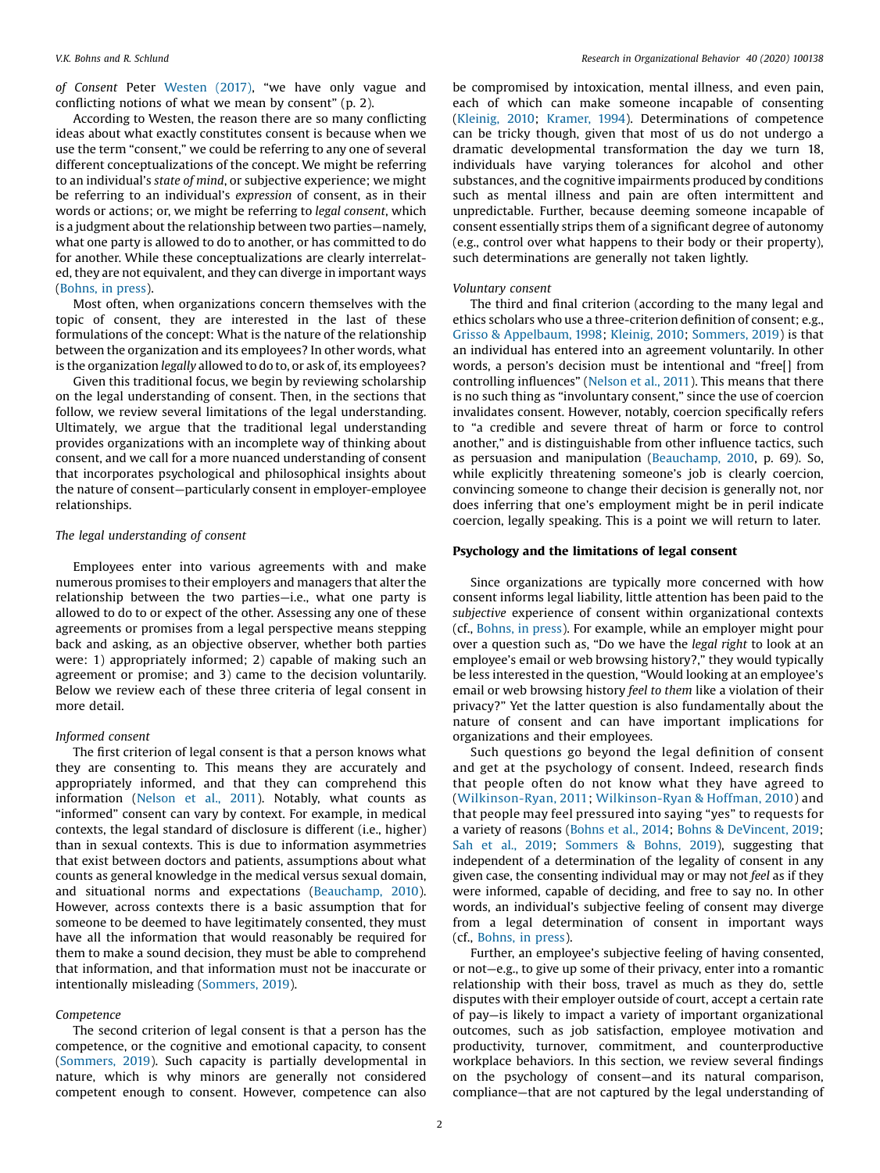of Consent Peter [Westen](#page-14-0) (2017), "we have only vague and conflicting notions of what we mean by consent" (p. 2).

According to Westen, the reason there are so many conflicting ideas about what exactly constitutes consent is because when we use the term "consent," we could be referring to any one of several different conceptualizations of the concept. We might be referring to an individual's state of mind, or subjective experience; we might be referring to an individual's expression of consent, as in their words or actions; or, we might be referring to legal consent, which is a judgment about the relationship between two parties—namely, what one party is allowed to do to another, or has committed to do for another. While these conceptualizations are clearly interrelated, they are not equivalent, and they can diverge in important ways ([Bohns,](#page-12-0) in press).

Most often, when organizations concern themselves with the topic of consent, they are interested in the last of these formulations of the concept: What is the nature of the relationship between the organization and its employees? In other words, what is the organization legally allowed to do to, or ask of, its employees?

Given this traditional focus, we begin by reviewing scholarship on the legal understanding of consent. Then, in the sections that follow, we review several limitations of the legal understanding. Ultimately, we argue that the traditional legal understanding provides organizations with an incomplete way of thinking about consent, and we call for a more nuanced understanding of consent that incorporates psychological and philosophical insights about the nature of consent—particularly consent in employer-employee relationships.

### The legal understanding of consent

Employees enter into various agreements with and make numerous promises to their employers and managers that alter the relationship between the two parties—i.e., what one party is allowed to do to or expect of the other. Assessing any one of these agreements or promises from a legal perspective means stepping back and asking, as an objective observer, whether both parties were: 1) appropriately informed; 2) capable of making such an agreement or promise; and 3) came to the decision voluntarily. Below we review each of these three criteria of legal consent in more detail.

### Informed consent

The first criterion of legal consent is that a person knows what they are consenting to. This means they are accurately and appropriately informed, and that they can comprehend this information ([Nelson](#page-13-0) et al., 2011). Notably, what counts as "informed" consent can vary by context. For example, in medical contexts, the legal standard of disclosure is different (i.e., higher) than in sexual contexts. This is due to information asymmetries that exist between doctors and patients, assumptions about what counts as general knowledge in the medical versus sexual domain, and situational norms and expectations ([Beauchamp,](#page-11-0) 2010). However, across contexts there is a basic assumption that for someone to be deemed to have legitimately consented, they must have all the information that would reasonably be required for them to make a sound decision, they must be able to comprehend that information, and that information must not be inaccurate or intentionally misleading [\(Sommers,](#page-13-0) 2019).

### Competence

The second criterion of legal consent is that a person has the competence, or the cognitive and emotional capacity, to consent ([Sommers,](#page-13-0) 2019). Such capacity is partially developmental in nature, which is why minors are generally not considered competent enough to consent. However, competence can also be compromised by intoxication, mental illness, and even pain, each of which can make someone incapable of consenting ([Kleinig,](#page-13-0) 2010; [Kramer,](#page-13-0) 1994). Determinations of competence can be tricky though, given that most of us do not undergo a dramatic developmental transformation the day we turn 18, individuals have varying tolerances for alcohol and other substances, and the cognitive impairments produced by conditions such as mental illness and pain are often intermittent and unpredictable. Further, because deeming someone incapable of consent essentially strips them of a significant degree of autonomy (e.g., control over what happens to their body or their property), such determinations are generally not taken lightly.

### Voluntary consent

The third and final criterion (according to the many legal and ethics scholars who use a three-criterion definition of consent; e.g., Grisso & [Appelbaum,](#page-12-0) 1998; [Kleinig,](#page-13-0) 2010; [Sommers,](#page-13-0) 2019) is that an individual has entered into an agreement voluntarily. In other words, a person's decision must be intentional and "free[] from controlling influences" [\(Nelson](#page-13-0) et al., 2011). This means that there is no such thing as "involuntary consent," since the use of coercion invalidates consent. However, notably, coercion specifically refers to "a credible and severe threat of harm or force to control another," and is distinguishable from other influence tactics, such as persuasion and manipulation ([Beauchamp,](#page-11-0) 2010, p. 69). So, while explicitly threatening someone's job is clearly coercion, convincing someone to change their decision is generally not, nor does inferring that one's employment might be in peril indicate coercion, legally speaking. This is a point we will return to later.

### Psychology and the limitations of legal consent

Since organizations are typically more concerned with how consent informs legal liability, little attention has been paid to the subjective experience of consent within organizational contexts (cf., [Bohns,](#page-12-0) in press). For example, while an employer might pour over a question such as, "Do we have the legal right to look at an employee's email or web browsing history?," they would typically be less interested in the question, "Would looking at an employee's email or web browsing history feel to them like a violation of their privacy?" Yet the latter question is also fundamentally about the nature of consent and can have important implications for organizations and their employees.

Such questions go beyond the legal definition of consent and get at the psychology of consent. Indeed, research finds that people often do not know what they have agreed to ([Wilkinson-Ryan,](#page-14-0) 2011; [Wilkinson-Ryan](#page-14-0) & Hoffman, 2010) and that people may feel pressured into saying "yes" to requests for a variety of reasons [\(Bohns](#page-12-0) et al., 2014; Bohns & [DeVincent,](#page-12-0) 2019; Sah et al., [2019](#page-13-0); [Sommers](#page-13-0) & Bohns, 2019), suggesting that independent of a determination of the legality of consent in any given case, the consenting individual may or may not feel as if they were informed, capable of deciding, and free to say no. In other words, an individual's subjective feeling of consent may diverge from a legal determination of consent in important ways (cf., [Bohns,](#page-12-0) in press).

Further, an employee's subjective feeling of having consented, or not—e.g., to give up some of their privacy, enter into a romantic relationship with their boss, travel as much as they do, settle disputes with their employer outside of court, accept a certain rate of pay—is likely to impact a variety of important organizational outcomes, such as job satisfaction, employee motivation and productivity, turnover, commitment, and counterproductive workplace behaviors. In this section, we review several findings on the psychology of consent—and its natural comparison, compliance—that are not captured by the legal understanding of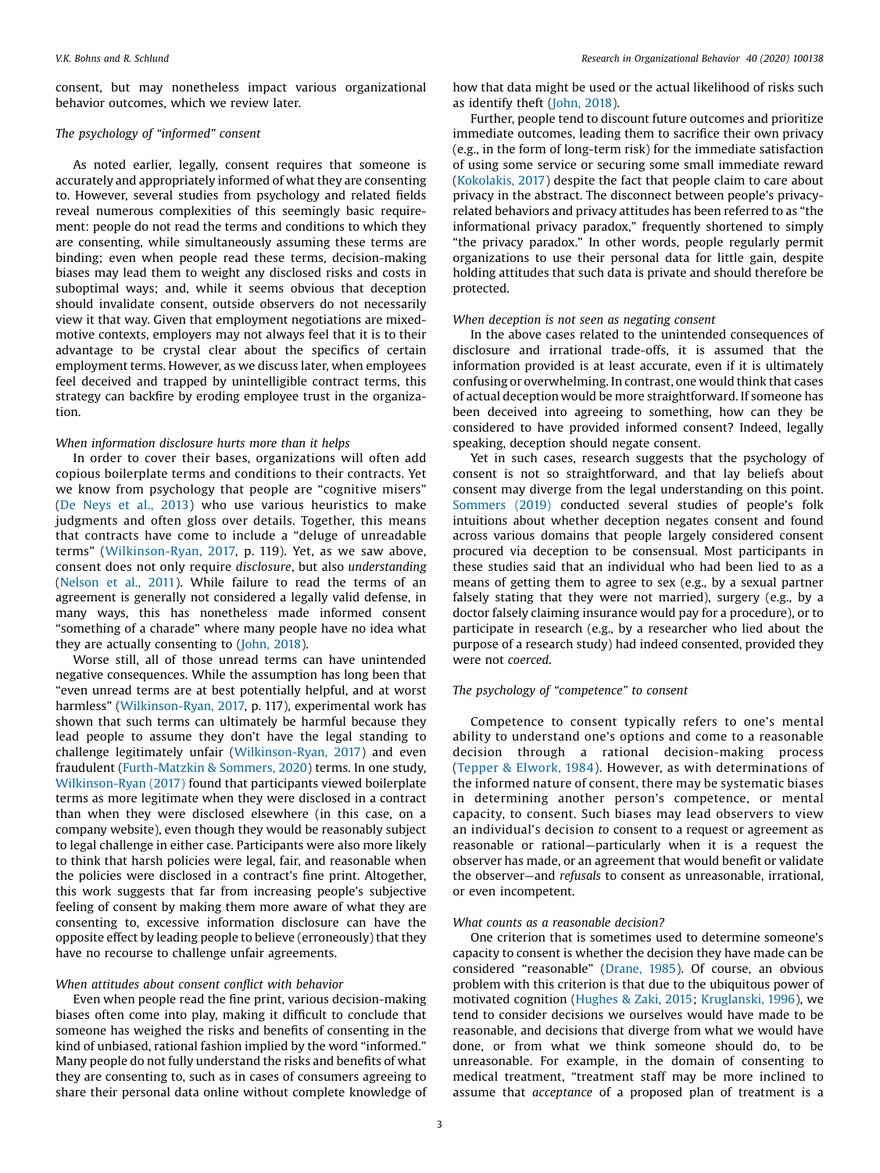consent, but may nonetheless impact various organizational behavior outcomes, which we review later.

### The psychology of "informed" consent

As noted earlier, legally, consent requires that someone is accurately and appropriately informed of what they are consenting to. However, several studies from psychology and related fields reveal numerous complexities of this seemingly basic requirement: people do not read the terms and conditions to which they are consenting, while simultaneously assuming these terms are binding; even when people read these terms, decision-making biases may lead them to weight any disclosed risks and costs in suboptimal ways; and, while it seems obvious that deception should invalidate consent, outside observers do not necessarily view it that way. Given that employment negotiations are mixedmotive contexts, employers may not always feel that it is to their advantage to be crystal clear about the specifics of certain employment terms. However, as we discuss later, when employees feel deceived and trapped by unintelligible contract terms, this strategy can backfire by eroding employee trust in the organization.

### When information disclosure hurts more than it helps

In order to cover their bases, organizations will often add copious boilerplate terms and conditions to their contracts. Yet we know from psychology that people are "cognitive misers" (De Neys et al., [2013](#page-12-0)) who use various heuristics to make judgments and often gloss over details. Together, this means that contracts have come to include a "deluge of unreadable terms" [\(Wilkinson-Ryan,](#page-14-0) 2017, p. 119). Yet, as we saw above, consent does not only require disclosure, but also understanding ([Nelson](#page-13-0) et al., 2011). While failure to read the terms of an agreement is generally not considered a legally valid defense, in many ways, this has nonetheless made informed consent "something of a charade" where many people have no idea what they are actually consenting to [\(John,](#page-12-0) 2018).

Worse still, all of those unread terms can have unintended negative consequences. While the assumption has long been that "even unread terms are at best potentially helpful, and at worst harmless" ([Wilkinson-Ryan,](#page-14-0) 2017, p. 117), experimental work has shown that such terms can ultimately be harmful because they lead people to assume they don't have the legal standing to challenge legitimately unfair ([Wilkinson-Ryan,](#page-14-0) 2017) and even fraudulent [\(Furth-Matzkin](#page-12-0) & Sommers, 2020) terms. In one study, [Wilkinson-Ryan](#page-14-0) (2017) found that participants viewed boilerplate terms as more legitimate when they were disclosed in a contract than when they were disclosed elsewhere (in this case, on a company website), even though they would be reasonably subject to legal challenge in either case. Participants were also more likely to think that harsh policies were legal, fair, and reasonable when the policies were disclosed in a contract's fine print. Altogether, this work suggests that far from increasing people's subjective feeling of consent by making them more aware of what they are consenting to, excessive information disclosure can have the opposite effect by leading people to believe (erroneously) that they have no recourse to challenge unfair agreements.

### When attitudes about consent conflict with behavior

Even when people read the fine print, various decision-making biases often come into play, making it difficult to conclude that someone has weighed the risks and benefits of consenting in the kind of unbiased, rational fashion implied by the word "informed." Many people do not fully understand the risks and benefits of what they are consenting to, such as in cases of consumers agreeing to share their personal data online without complete knowledge of how that data might be used or the actual likelihood of risks such as identify theft [\(John,](#page-12-0) 2018).

Further, people tend to discount future outcomes and prioritize immediate outcomes, leading them to sacrifice their own privacy (e.g., in the form of long-term risk) for the immediate satisfaction of using some service or securing some small immediate reward ([Kokolakis,](#page-13-0) 2017) despite the fact that people claim to care about privacy in the abstract. The disconnect between people's privacyrelated behaviors and privacy attitudes has been referred to as "the informational privacy paradox," frequently shortened to simply "the privacy paradox." In other words, people regularly permit organizations to use their personal data for little gain, despite holding attitudes that such data is private and should therefore be protected.

### When deception is not seen as negating consent

In the above cases related to the unintended consequences of disclosure and irrational trade-offs, it is assumed that the information provided is at least accurate, even if it is ultimately confusing or overwhelming. In contrast, one would think that cases of actual deception would be more straightforward. If someone has been deceived into agreeing to something, how can they be considered to have provided informed consent? Indeed, legally speaking, deception should negate consent.

Yet in such cases, research suggests that the psychology of consent is not so straightforward, and that lay beliefs about consent may diverge from the legal understanding on this point. [Sommers](#page-13-0) (2019) conducted several studies of people's folk intuitions about whether deception negates consent and found across various domains that people largely considered consent procured via deception to be consensual. Most participants in these studies said that an individual who had been lied to as a means of getting them to agree to sex (e.g., by a sexual partner falsely stating that they were not married), surgery (e.g., by a doctor falsely claiming insurance would pay for a procedure), or to participate in research (e.g., by a researcher who lied about the purpose of a research study) had indeed consented, provided they were not coerced.

### The psychology of "competence" to consent

Competence to consent typically refers to one's mental ability to understand one's options and come to a reasonable decision through a rational decision-making process (Tepper & [Elwork,](#page-13-0) 1984). However, as with determinations of the informed nature of consent, there may be systematic biases in determining another person's competence, or mental capacity, to consent. Such biases may lead observers to view an individual's decision to consent to a request or agreement as reasonable or rational—particularly when it is a request the observer has made, or an agreement that would benefit or validate the observer—and refusals to consent as unreasonable, irrational, or even incompetent.

### What counts as a reasonable decision?

One criterion that is sometimes used to determine someone's capacity to consent is whether the decision they have made can be considered "reasonable" ([Drane,](#page-12-0) 1985). Of course, an obvious problem with this criterion is that due to the ubiquitous power of motivated cognition ([Hughes](#page-12-0) & Zaki, 2015; [Kruglanski,](#page-13-0) 1996), we tend to consider decisions we ourselves would have made to be reasonable, and decisions that diverge from what we would have done, or from what we think someone should do, to be unreasonable. For example, in the domain of consenting to medical treatment, "treatment staff may be more inclined to assume that acceptance of a proposed plan of treatment is a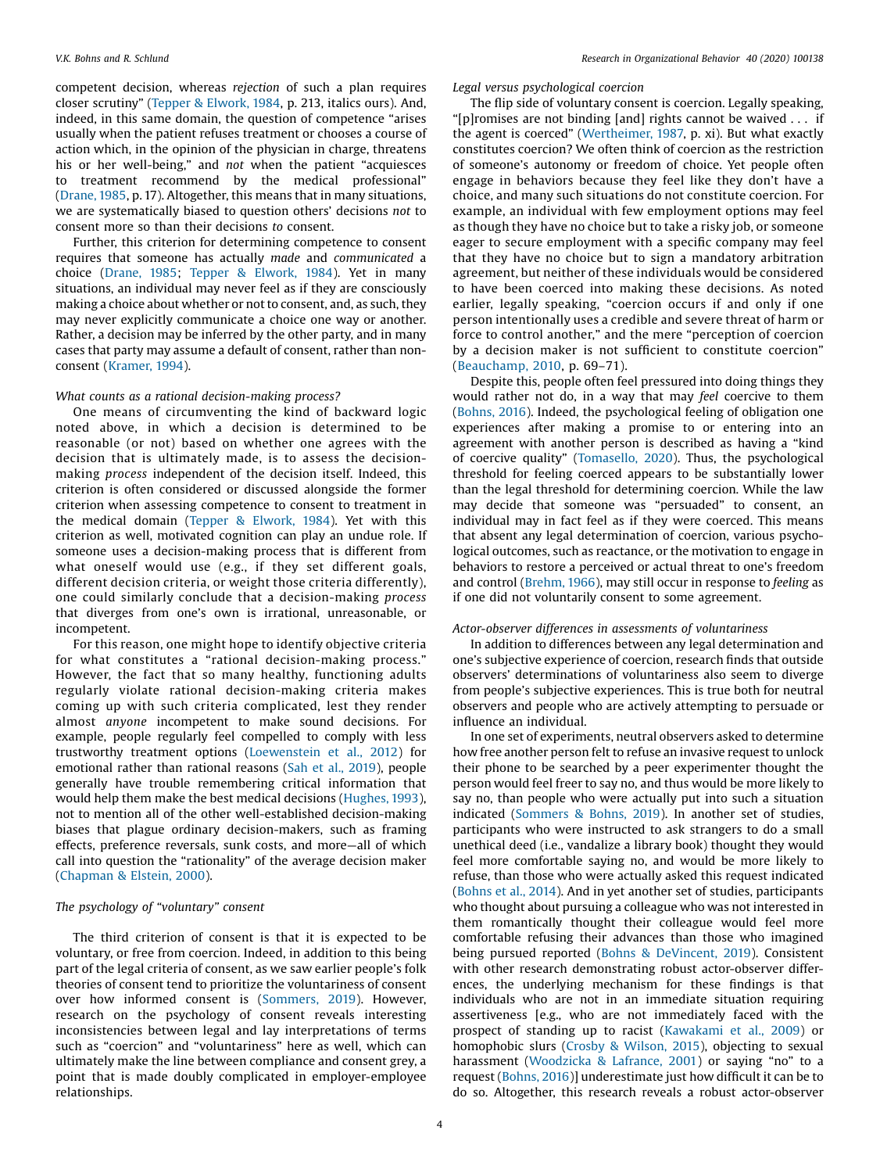competent decision, whereas rejection of such a plan requires closer scrutiny" (Tepper & [Elwork,](#page-13-0) 1984, p. 213, italics ours). And, indeed, in this same domain, the question of competence "arises usually when the patient refuses treatment or chooses a course of action which, in the opinion of the physician in charge, threatens his or her well-being," and not when the patient "acquiesces to treatment recommend by the medical professional" ([Drane,1985](#page-12-0), p. 17). Altogether, this means that in many situations, we are systematically biased to question others' decisions not to consent more so than their decisions to consent.

Further, this criterion for determining competence to consent requires that someone has actually made and communicated a choice [\(Drane,](#page-12-0) 1985; Tepper & [Elwork,](#page-13-0) 1984). Yet in many situations, an individual may never feel as if they are consciously making a choice about whether or not to consent, and, as such, they may never explicitly communicate a choice one way or another. Rather, a decision may be inferred by the other party, and in many cases that party may assume a default of consent, rather than nonconsent [\(Kramer,](#page-13-0) 1994).

### What counts as a rational decision-making process?

One means of circumventing the kind of backward logic noted above, in which a decision is determined to be reasonable (or not) based on whether one agrees with the decision that is ultimately made, is to assess the decisionmaking process independent of the decision itself. Indeed, this criterion is often considered or discussed alongside the former criterion when assessing competence to consent to treatment in the medical domain (Tepper & [Elwork,](#page-13-0) 1984). Yet with this criterion as well, motivated cognition can play an undue role. If someone uses a decision-making process that is different from what oneself would use (e.g., if they set different goals, different decision criteria, or weight those criteria differently), one could similarly conclude that a decision-making process that diverges from one's own is irrational, unreasonable, or incompetent.

For this reason, one might hope to identify objective criteria for what constitutes a "rational decision-making process." However, the fact that so many healthy, functioning adults regularly violate rational decision-making criteria makes coming up with such criteria complicated, lest they render almost anyone incompetent to make sound decisions. For example, people regularly feel compelled to comply with less trustworthy treatment options ([Loewenstein](#page-13-0) et al., 2012) for emotional rather than rational reasons (Sah et al., [2019](#page-13-0)), people generally have trouble remembering critical information that would help them make the best medical decisions ([Hughes,](#page-12-0) 1993), not to mention all of the other well-established decision-making biases that plague ordinary decision-makers, such as framing effects, preference reversals, sunk costs, and more—all of which call into question the "rationality" of the average decision maker ([Chapman](#page-12-0) & Elstein, 2000).

### The psychology of "voluntary" consent

The third criterion of consent is that it is expected to be voluntary, or free from coercion. Indeed, in addition to this being part of the legal criteria of consent, as we saw earlier people's folk theories of consent tend to prioritize the voluntariness of consent over how informed consent is ([Sommers,](#page-13-0) 2019). However, research on the psychology of consent reveals interesting inconsistencies between legal and lay interpretations of terms such as "coercion" and "voluntariness" here as well, which can ultimately make the line between compliance and consent grey, a point that is made doubly complicated in employer-employee relationships.

Legal versus psychological coercion

The flip side of voluntary consent is coercion. Legally speaking, "[p]romises are not binding [and] rights cannot be waived . . . if the agent is coerced" [\(Wertheimer,](#page-14-0) 1987, p. xi). But what exactly constitutes coercion? We often think of coercion as the restriction of someone's autonomy or freedom of choice. Yet people often engage in behaviors because they feel like they don't have a choice, and many such situations do not constitute coercion. For example, an individual with few employment options may feel as though they have no choice but to take a risky job, or someone eager to secure employment with a specific company may feel that they have no choice but to sign a mandatory arbitration agreement, but neither of these individuals would be considered to have been coerced into making these decisions. As noted earlier, legally speaking, "coercion occurs if and only if one person intentionally uses a credible and severe threat of harm or force to control another," and the mere "perception of coercion by a decision maker is not sufficient to constitute coercion" ([Beauchamp,](#page-11-0) 2010, p. 69–71).

Despite this, people often feel pressured into doing things they would rather not do, in a way that may feel coercive to them ([Bohns,](#page-12-0) 2016). Indeed, the psychological feeling of obligation one experiences after making a promise to or entering into an agreement with another person is described as having a "kind of coercive quality" [\(Tomasello,](#page-13-0) 2020). Thus, the psychological threshold for feeling coerced appears to be substantially lower than the legal threshold for determining coercion. While the law may decide that someone was "persuaded" to consent, an individual may in fact feel as if they were coerced. This means that absent any legal determination of coercion, various psychological outcomes, such as reactance, or the motivation to engage in behaviors to restore a perceived or actual threat to one's freedom and control [\(Brehm,](#page-12-0) 1966), may still occur in response to feeling as if one did not voluntarily consent to some agreement.

### Actor-observer differences in assessments of voluntariness

In addition to differences between any legal determination and one's subjective experience of coercion, research finds that outside observers' determinations of voluntariness also seem to diverge from people's subjective experiences. This is true both for neutral observers and people who are actively attempting to persuade or influence an individual.

In one set of experiments, neutral observers asked to determine how free another person felt to refuse an invasive request to unlock their phone to be searched by a peer experimenter thought the person would feel freer to say no, and thus would be more likely to say no, than people who were actually put into such a situation indicated [\(Sommers](#page-13-0) & Bohns, 2019). In another set of studies, participants who were instructed to ask strangers to do a small unethical deed (i.e., vandalize a library book) thought they would feel more comfortable saying no, and would be more likely to refuse, than those who were actually asked this request indicated ([Bohns](#page-12-0) et al., 2014). And in yet another set of studies, participants who thought about pursuing a colleague who was not interested in them romantically thought their colleague would feel more comfortable refusing their advances than those who imagined being pursued reported (Bohns & [DeVincent,](#page-12-0) 2019). Consistent with other research demonstrating robust actor-observer differences, the underlying mechanism for these findings is that individuals who are not in an immediate situation requiring assertiveness [e.g., who are not immediately faced with the prospect of standing up to racist ([Kawakami](#page-12-0) et al., 2009) or homophobic slurs (Crosby & [Wilson,](#page-12-0) 2015), objecting to sexual harassment [\(Woodzicka](#page-14-0) & Lafrance, 2001) or saying "no" to a request ([Bohns,](#page-12-0) 2016)] underestimate just how difficult it can be to do so. Altogether, this research reveals a robust actor-observer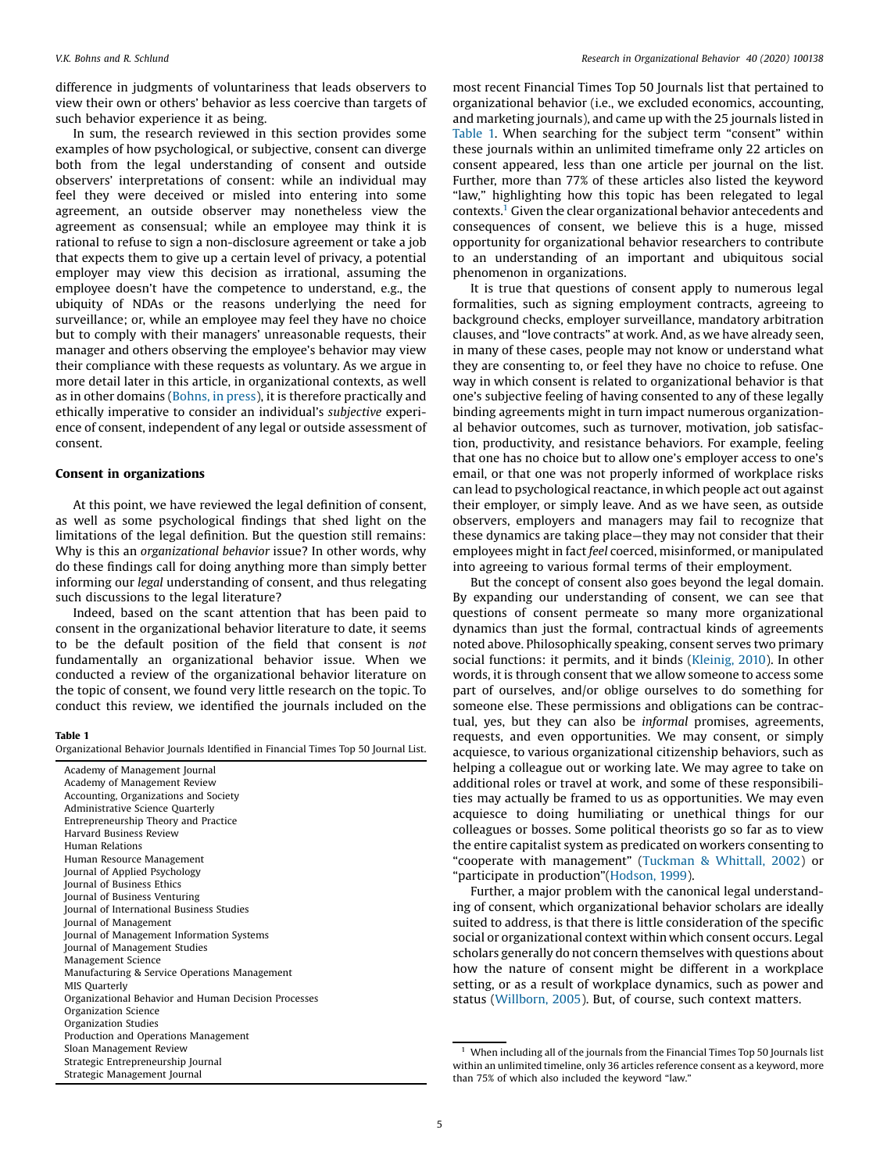difference in judgments of voluntariness that leads observers to view their own or others' behavior as less coercive than targets of such behavior experience it as being.

In sum, the research reviewed in this section provides some examples of how psychological, or subjective, consent can diverge both from the legal understanding of consent and outside observers' interpretations of consent: while an individual may feel they were deceived or misled into entering into some agreement, an outside observer may nonetheless view the agreement as consensual; while an employee may think it is rational to refuse to sign a non-disclosure agreement or take a job that expects them to give up a certain level of privacy, a potential employer may view this decision as irrational, assuming the employee doesn't have the competence to understand, e.g., the ubiquity of NDAs or the reasons underlying the need for surveillance; or, while an employee may feel they have no choice but to comply with their managers' unreasonable requests, their manager and others observing the employee's behavior may view their compliance with these requests as voluntary. As we argue in more detail later in this article, in organizational contexts, as well as in other domains ([Bohns,](#page-12-0) in press), it is therefore practically and ethically imperative to consider an individual's subjective experience of consent, independent of any legal or outside assessment of consent.

### Consent in organizations

At this point, we have reviewed the legal definition of consent, as well as some psychological findings that shed light on the limitations of the legal definition. But the question still remains: Why is this an organizational behavior issue? In other words, why do these findings call for doing anything more than simply better informing our legal understanding of consent, and thus relegating such discussions to the legal literature?

Indeed, based on the scant attention that has been paid to consent in the organizational behavior literature to date, it seems to be the default position of the field that consent is not fundamentally an organizational behavior issue. When we conducted a review of the organizational behavior literature on the topic of consent, we found very little research on the topic. To conduct this review, we identified the journals included on the

### Table 1

Organizational Behavior Journals Identified in Financial Times Top 50 Journal List.

| Academy of Management Journal                        |
|------------------------------------------------------|
| Academy of Management Review                         |
| Accounting, Organizations and Society                |
| Administrative Science Quarterly                     |
| Entrepreneurship Theory and Practice                 |
| <b>Harvard Business Review</b>                       |
| Human Relations                                      |
| Human Resource Management                            |
| Journal of Applied Psychology                        |
| Journal of Business Ethics                           |
| Journal of Business Venturing                        |
| Journal of International Business Studies            |
| Journal of Management                                |
| Journal of Management Information Systems            |
| Journal of Management Studies                        |
| Management Science                                   |
| Manufacturing & Service Operations Management        |
| MIS Quarterly                                        |
| Organizational Behavior and Human Decision Processes |
| Organization Science                                 |
| Organization Studies                                 |
| Production and Operations Management                 |
| Sloan Management Review                              |
| Strategic Entrepreneurship Journal                   |
| Strategic Management Journal                         |

most recent Financial Times Top 50 Journals list that pertained to organizational behavior (i.e., we excluded economics, accounting, and marketing journals), and came up with the 25 journals listed in Table 1. When searching for the subject term "consent" within these journals within an unlimited timeframe only 22 articles on consent appeared, less than one article per journal on the list. Further, more than 77% of these articles also listed the keyword "law," highlighting how this topic has been relegated to legal contexts.1 Given the clear organizational behavior antecedents and consequences of consent, we believe this is a huge, missed opportunity for organizational behavior researchers to contribute to an understanding of an important and ubiquitous social phenomenon in organizations.

It is true that questions of consent apply to numerous legal formalities, such as signing employment contracts, agreeing to background checks, employer surveillance, mandatory arbitration clauses, and "love contracts" at work. And, as we have already seen, in many of these cases, people may not know or understand what they are consenting to, or feel they have no choice to refuse. One way in which consent is related to organizational behavior is that one's subjective feeling of having consented to any of these legally binding agreements might in turn impact numerous organizational behavior outcomes, such as turnover, motivation, job satisfaction, productivity, and resistance behaviors. For example, feeling that one has no choice but to allow one's employer access to one's email, or that one was not properly informed of workplace risks can lead to psychological reactance, in which people act out against their employer, or simply leave. And as we have seen, as outside observers, employers and managers may fail to recognize that these dynamics are taking place—they may not consider that their employees might in fact feel coerced, misinformed, or manipulated into agreeing to various formal terms of their employment.

But the concept of consent also goes beyond the legal domain. By expanding our understanding of consent, we can see that questions of consent permeate so many more organizational dynamics than just the formal, contractual kinds of agreements noted above. Philosophically speaking, consent serves two primary social functions: it permits, and it binds [\(Kleinig,](#page-13-0) 2010). In other words, it is through consent that we allow someone to access some part of ourselves, and/or oblige ourselves to do something for someone else. These permissions and obligations can be contractual, yes, but they can also be informal promises, agreements, requests, and even opportunities. We may consent, or simply acquiesce, to various organizational citizenship behaviors, such as helping a colleague out or working late. We may agree to take on additional roles or travel at work, and some of these responsibilities may actually be framed to us as opportunities. We may even acquiesce to doing humiliating or unethical things for our colleagues or bosses. Some political theorists go so far as to view the entire capitalist system as predicated on workers consenting to "cooperate with management" [\(Tuckman](#page-14-0) & Whittall, 2002) or "participate in production"[\(Hodson,](#page-12-0) 1999).

Further, a major problem with the canonical legal understanding of consent, which organizational behavior scholars are ideally suited to address, is that there is little consideration of the specific social or organizational context within which consent occurs. Legal scholars generally do not concern themselves with questions about how the nature of consent might be different in a workplace setting, or as a result of workplace dynamics, such as power and status [\(Willborn,](#page-14-0) 2005). But, of course, such context matters.

 $1$  When including all of the journals from the Financial Times Top 50 Journals list within an unlimited timeline, only 36 articles reference consent as a keyword, more than 75% of which also included the keyword "law."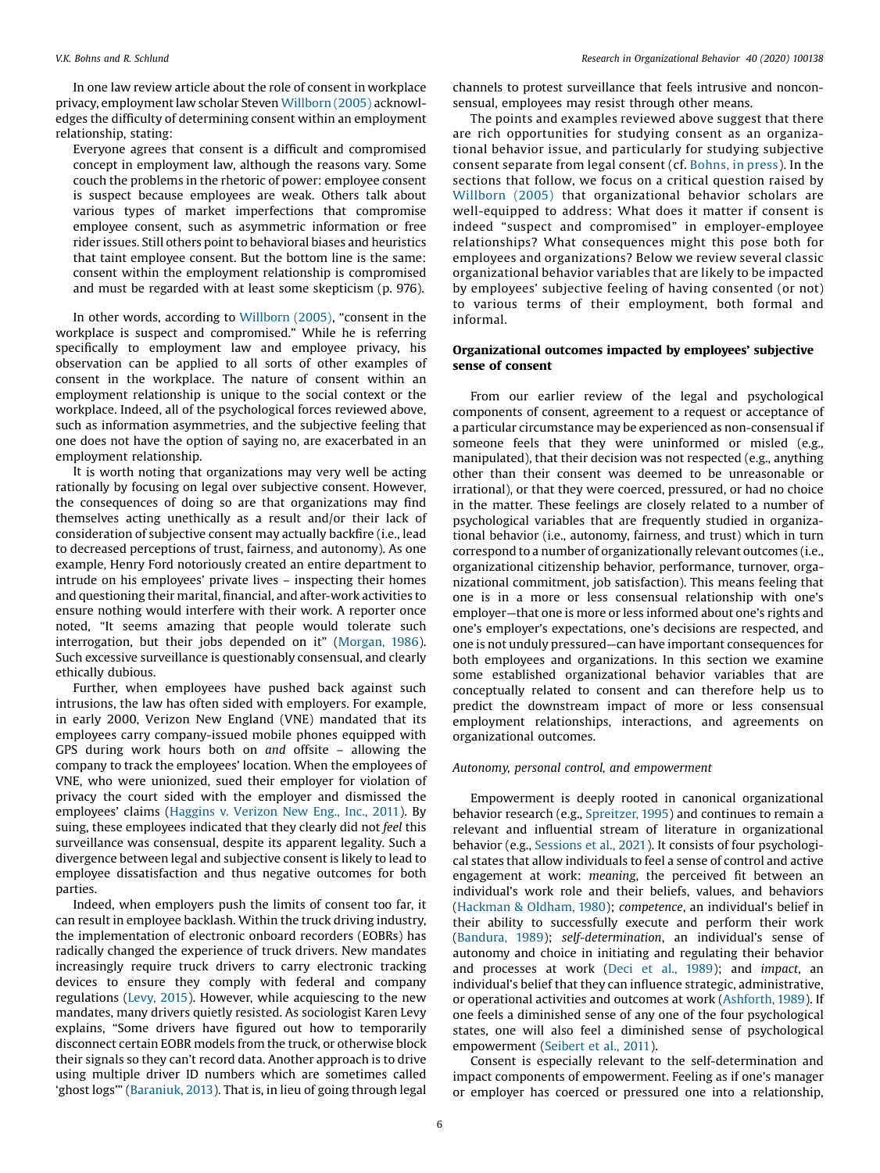In one law review article about the role of consent in workplace privacy, employmentlaw scholar Steven [Willborn](#page-14-0) (2005) acknowledges the difficulty of determining consent within an employment relationship, stating:

Everyone agrees that consent is a difficult and compromised concept in employment law, although the reasons vary. Some couch the problems in the rhetoric of power: employee consent is suspect because employees are weak. Others talk about various types of market imperfections that compromise employee consent, such as asymmetric information or free rider issues. Still others point to behavioral biases and heuristics that taint employee consent. But the bottom line is the same: consent within the employment relationship is compromised and must be regarded with at least some skepticism (p. 976).

In other words, according to [Willborn](#page-14-0) (2005), "consent in the workplace is suspect and compromised." While he is referring specifically to employment law and employee privacy, his observation can be applied to all sorts of other examples of consent in the workplace. The nature of consent within an employment relationship is unique to the social context or the workplace. Indeed, all of the psychological forces reviewed above, such as information asymmetries, and the subjective feeling that one does not have the option of saying no, are exacerbated in an employment relationship.

It is worth noting that organizations may very well be acting rationally by focusing on legal over subjective consent. However, the consequences of doing so are that organizations may find themselves acting unethically as a result and/or their lack of consideration of subjective consent may actually backfire (i.e., lead to decreased perceptions of trust, fairness, and autonomy). As one example, Henry Ford notoriously created an entire department to intrude on his employees' private lives – inspecting their homes and questioning their marital, financial, and after-work activities to ensure nothing would interfere with their work. A reporter once noted, "It seems amazing that people would tolerate such interrogation, but their jobs depended on it" [\(Morgan,](#page-13-0) 1986). Such excessive surveillance is questionably consensual, and clearly ethically dubious.

Further, when employees have pushed back against such intrusions, the law has often sided with employers. For example, in early 2000, Verizon New England (VNE) mandated that its employees carry company-issued mobile phones equipped with GPS during work hours both on and offsite – allowing the company to track the employees' location. When the employees of VNE, who were unionized, sued their employer for violation of privacy the court sided with the employer and dismissed the employees' claims ([Haggins](#page-12-0) v. Verizon New Eng., Inc., 2011). By suing, these employees indicated that they clearly did not feel this surveillance was consensual, despite its apparent legality. Such a divergence between legal and subjective consent is likely to lead to employee dissatisfaction and thus negative outcomes for both parties.

Indeed, when employers push the limits of consent too far, it can result in employee backlash. Within the truck driving industry, the implementation of electronic onboard recorders (EOBRs) has radically changed the experience of truck drivers. New mandates increasingly require truck drivers to carry electronic tracking devices to ensure they comply with federal and company regulations ([Levy,](#page-13-0) 2015). However, while acquiescing to the new mandates, many drivers quietly resisted. As sociologist Karen Levy explains, "Some drivers have figured out how to temporarily disconnect certain EOBR models from the truck, or otherwise block their signals so they can't record data. Another approach is to drive using multiple driver ID numbers which are sometimes called 'ghost logs'" [\(Baraniuk,](#page-11-0) 2013). That is, in lieu of going through legal

channels to protest surveillance that feels intrusive and nonconsensual, employees may resist through other means.

The points and examples reviewed above suggest that there are rich opportunities for studying consent as an organizational behavior issue, and particularly for studying subjective consent separate from legal consent (cf. [Bohns,](#page-12-0) in press). In the sections that follow, we focus on a critical question raised by [Willborn](#page-14-0) (2005) that organizational behavior scholars are well-equipped to address: What does it matter if consent is indeed "suspect and compromised" in employer-employee relationships? What consequences might this pose both for employees and organizations? Below we review several classic organizational behavior variables that are likely to be impacted by employees' subjective feeling of having consented (or not) to various terms of their employment, both formal and informal.

### Organizational outcomes impacted by employees' subjective sense of consent

From our earlier review of the legal and psychological components of consent, agreement to a request or acceptance of a particular circumstance may be experienced as non-consensual if someone feels that they were uninformed or misled (e.g., manipulated), that their decision was not respected (e.g., anything other than their consent was deemed to be unreasonable or irrational), or that they were coerced, pressured, or had no choice in the matter. These feelings are closely related to a number of psychological variables that are frequently studied in organizational behavior (i.e., autonomy, fairness, and trust) which in turn correspond to a number of organizationally relevant outcomes (i.e., organizational citizenship behavior, performance, turnover, organizational commitment, job satisfaction). This means feeling that one is in a more or less consensual relationship with one's employer—that one is more or less informed about one's rights and one's employer's expectations, one's decisions are respected, and one is not unduly pressured—can have important consequences for both employees and organizations. In this section we examine some established organizational behavior variables that are conceptually related to consent and can therefore help us to predict the downstream impact of more or less consensual employment relationships, interactions, and agreements on organizational outcomes.

### Autonomy, personal control, and empowerment

Empowerment is deeply rooted in canonical organizational behavior research (e.g., [Spreitzer,](#page-13-0) 1995) and continues to remain a relevant and influential stream of literature in organizational behavior (e.g., [Sessions](#page-13-0) et al., 2021). It consists of four psychological states that allow individuals to feel a sense of control and active engagement at work: meaning, the perceived fit between an individual's work role and their beliefs, values, and behaviors ([Hackman](#page-12-0) & Oldham, 1980); competence, an individual's belief in their ability to successfully execute and perform their work ([Bandura,](#page-11-0) 1989); self-determination, an individual's sense of autonomy and choice in initiating and regulating their behavior and processes at work (Deci et al., [1989](#page-12-0)); and impact, an individual's belief that they can influence strategic, administrative, or operational activities and outcomes at work ([Ashforth,](#page-11-0) 1989). If one feels a diminished sense of any one of the four psychological states, one will also feel a diminished sense of psychological empowerment [\(Seibert](#page-13-0) et al., 2011).

Consent is especially relevant to the self-determination and impact components of empowerment. Feeling as if one's manager or employer has coerced or pressured one into a relationship,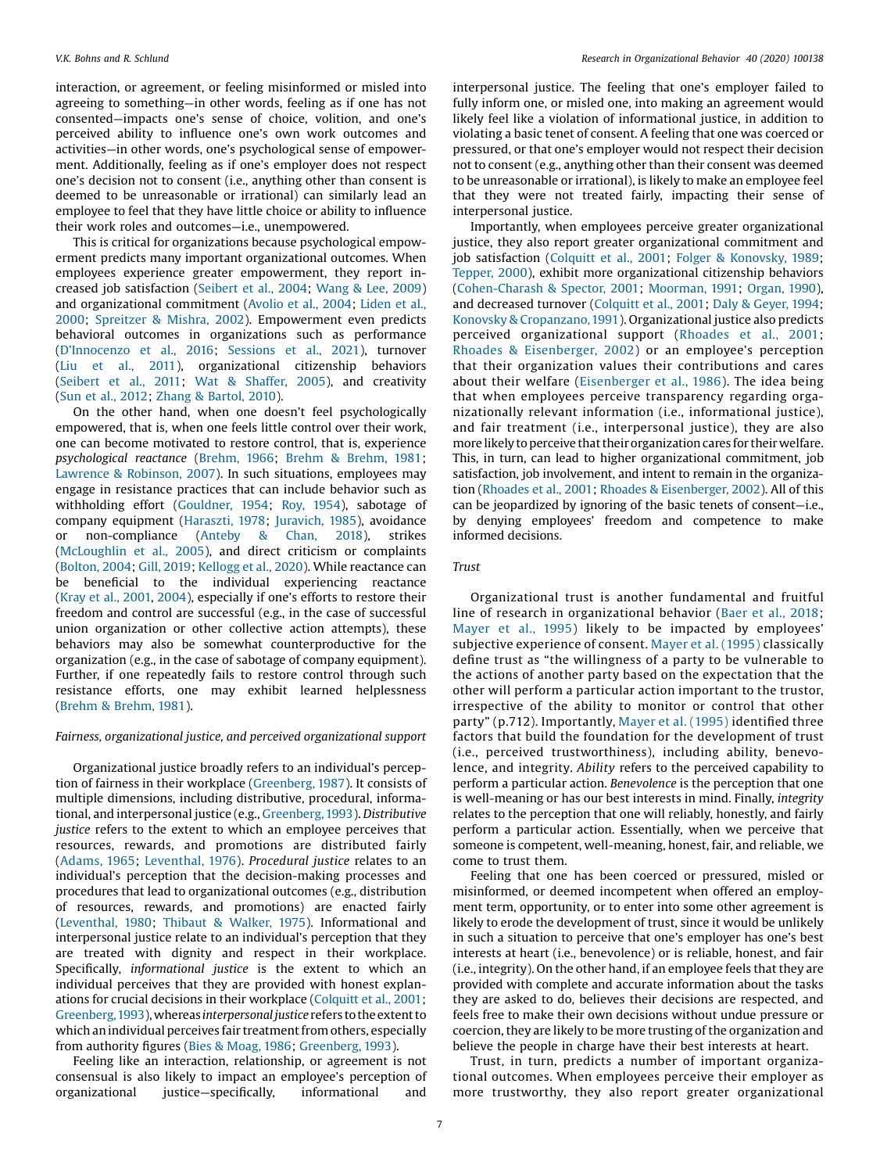interaction, or agreement, or feeling misinformed or misled into agreeing to something—in other words, feeling as if one has not consented—impacts one's sense of choice, volition, and one's perceived ability to influence one's own work outcomes and activities—in other words, one's psychological sense of empowerment. Additionally, feeling as if one's employer does not respect one's decision not to consent (i.e., anything other than consent is deemed to be unreasonable or irrational) can similarly lead an employee to feel that they have little choice or ability to influence their work roles and outcomes—i.e., unempowered.

This is critical for organizations because psychological empowerment predicts many important organizational outcomes. When employees experience greater empowerment, they report increased job satisfaction [\(Seibert](#page-13-0) et al., 2004; [Wang](#page-14-0) & Lee, 2009) and organizational commitment [\(Avolio](#page-11-0) et al., 2004; [Liden](#page-13-0) et al., [2000](#page-13-0); [Spreitzer](#page-13-0) & Mishra, 2002). Empowerment even predicts behavioral outcomes in organizations such as performance (D'[Innocenzo](#page-12-0) et al., 2016; [Sessions](#page-13-0) et al., 2021), turnover (Liu et al., [2011](#page-13-0)), organizational citizenship behaviors ([Seibert](#page-13-0) et al., 2011; Wat & [Shaffer,](#page-14-0) 2005), and creativity (Sun et al., [2012](#page-13-0); Zhang & [Bartol,](#page-14-0) 2010).

On the other hand, when one doesn't feel psychologically empowered, that is, when one feels little control over their work, one can become motivated to restore control, that is, experience psychological reactance ([Brehm,](#page-12-0) 1966; Brehm & [Brehm,](#page-12-0) 1981; Lawrence & [Robinson,](#page-13-0) 2007). In such situations, employees may engage in resistance practices that can include behavior such as withholding effort [\(Gouldner,](#page-12-0) 1954; Roy, [1954\)](#page-13-0), sabotage of company equipment ([Haraszti,](#page-12-0) 1978; [Juravich,](#page-12-0) 1985), avoidance or non-compliance ([Anteby](#page-11-0) & Chan, 2018), strikes ([McLoughlin](#page-13-0) et al., 2005), and direct criticism or complaints ([Bolton,](#page-12-0) 2004; Gill, [2019](#page-12-0); [Kellogg](#page-12-0) et al., 2020). While reactance can be beneficial to the individual experiencing reactance (Kray et al., [2001,](#page-13-0) [2004](#page-13-0)), especially if one's efforts to restore their freedom and control are successful (e.g., in the case of successful union organization or other collective action attempts), these behaviors may also be somewhat counterproductive for the organization (e.g., in the case of sabotage of company equipment). Further, if one repeatedly fails to restore control through such resistance efforts, one may exhibit learned helplessness (Brehm & [Brehm,](#page-12-0) 1981).

### Fairness, organizational justice, and perceived organizational support

Organizational justice broadly refers to an individual's perception of fairness in their workplace [\(Greenberg,](#page-12-0) 1987). It consists of multiple dimensions, including distributive, procedural, informational, and interpersonal justice (e.g., [Greenberg, 1993](#page-12-0)). Distributive justice refers to the extent to which an employee perceives that resources, rewards, and promotions are distributed fairly ([Adams,](#page-11-0) 1965; [Leventhal,](#page-13-0) 1976). Procedural justice relates to an individual's perception that the decision-making processes and procedures that lead to organizational outcomes (e.g., distribution of resources, rewards, and promotions) are enacted fairly ([Leventhal,](#page-13-0) 1980; Thibaut & [Walker,](#page-13-0) 1975). Informational and interpersonal justice relate to an individual's perception that they are treated with dignity and respect in their workplace. Specifically, informational justice is the extent to which an individual perceives that they are provided with honest explanations for crucial decisions in their workplace ([Colquitt](#page-12-0) et al., 2001; Greenberg, 1993), whereas interpersonal justice refers to the extent to which an individual perceives fair treatment from others, especially from authority figures (Bies & [Moag,](#page-11-0) 1986; [Greenberg,](#page-12-0) 1993).

Feeling like an interaction, relationship, or agreement is not consensual is also likely to impact an employee's perception of organizational justice—specifically, informational and

interpersonal justice. The feeling that one's employer failed to fully inform one, or misled one, into making an agreement would likely feel like a violation of informational justice, in addition to violating a basic tenet of consent. A feeling that one was coerced or pressured, or that one's employer would not respect their decision not to consent (e.g., anything other than their consent was deemed to be unreasonable or irrational), is likely to make an employee feel that they were not treated fairly, impacting their sense of interpersonal justice.

Importantly, when employees perceive greater organizational justice, they also report greater organizational commitment and job satisfaction ([Colquitt](#page-12-0) et al., 2001; Folger & [Konovsky,](#page-12-0) 1989; [Tepper,](#page-13-0) 2000), exhibit more organizational citizenship behaviors ([Cohen-Charash](#page-12-0) & Spector, 2001; [Moorman,](#page-13-0) 1991; [Organ,](#page-13-0) 1990), and decreased turnover [\(Colquitt](#page-12-0) et al., 2001; Daly & [Geyer,](#page-12-0) 1994; Konovsky & [Cropanzano,1991](#page-13-0)). Organizational justice also predicts perceived organizational support ([Rhoades](#page-13-0) et al., 2001; Rhoades & [Eisenberger,](#page-13-0) 2002) or an employee's perception that their organization values their contributions and cares about their welfare ([Eisenberger](#page-12-0) et al., 1986). The idea being that when employees perceive transparency regarding organizationally relevant information (i.e., informational justice), and fair treatment (i.e., interpersonal justice), they are also more likely to perceive that their organization cares for their welfare. This, in turn, can lead to higher organizational commitment, job satisfaction, job involvement, and intent to remain in the organization ([Rhoades](#page-13-0) et al., 2001; Rhoades & [Eisenberger,](#page-13-0) 2002). All of this can be jeopardized by ignoring of the basic tenets of consent—i.e., by denying employees' freedom and competence to make informed decisions.

### Trust

Organizational trust is another fundamental and fruitful line of research in organizational behavior (Baer et al., [2018;](#page-11-0) [Mayer](#page-13-0) et al., 1995) likely to be impacted by employees' subjective experience of consent. Mayer et al. [\(1995\)](#page-13-0) classically define trust as "the willingness of a party to be vulnerable to the actions of another party based on the expectation that the other will perform a particular action important to the trustor, irrespective of the ability to monitor or control that other party" (p.712). Importantly, Mayer et al. [\(1995\)](#page-13-0) identified three factors that build the foundation for the development of trust (i.e., perceived trustworthiness), including ability, benevolence, and integrity. Ability refers to the perceived capability to perform a particular action. Benevolence is the perception that one is well-meaning or has our best interests in mind. Finally, integrity relates to the perception that one will reliably, honestly, and fairly perform a particular action. Essentially, when we perceive that someone is competent, well-meaning, honest, fair, and reliable, we come to trust them.

Feeling that one has been coerced or pressured, misled or misinformed, or deemed incompetent when offered an employment term, opportunity, or to enter into some other agreement is likely to erode the development of trust, since it would be unlikely in such a situation to perceive that one's employer has one's best interests at heart (i.e., benevolence) or is reliable, honest, and fair (i.e., integrity). On the other hand, if an employee feels that they are provided with complete and accurate information about the tasks they are asked to do, believes their decisions are respected, and feels free to make their own decisions without undue pressure or coercion, they are likely to be more trusting of the organization and believe the people in charge have their best interests at heart.

Trust, in turn, predicts a number of important organizational outcomes. When employees perceive their employer as more trustworthy, they also report greater organizational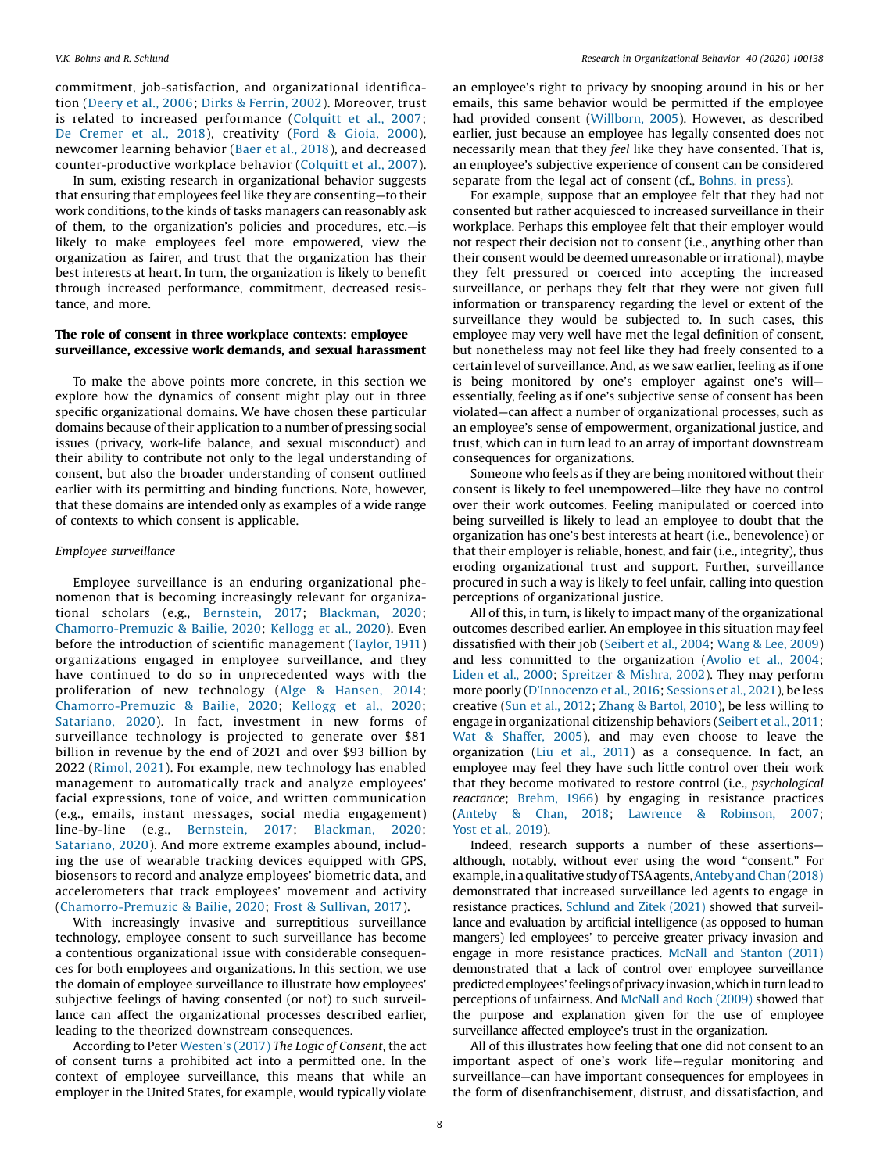commitment, job-satisfaction, and organizational identification ([Deery](#page-12-0) et al., 2006; Dirks & [Ferrin,](#page-12-0) 2002). Moreover, trust is related to increased performance ([Colquitt](#page-12-0) et al., 2007; De [Cremer](#page-12-0) et al., 2018), creativity (Ford & [Gioia,](#page-12-0) 2000), newcomer learning behavior (Baer et al., [2018](#page-11-0)), and decreased counter-productive workplace behavior ([Colquitt](#page-12-0) et al., 2007).

In sum, existing research in organizational behavior suggests that ensuring that employees feel like they are consenting—to their work conditions, to the kinds of tasks managers can reasonably ask of them, to the organization's policies and procedures, etc.—is likely to make employees feel more empowered, view the organization as fairer, and trust that the organization has their best interests at heart. In turn, the organization is likely to benefit through increased performance, commitment, decreased resistance, and more.

### The role of consent in three workplace contexts: employee surveillance, excessive work demands, and sexual harassment

To make the above points more concrete, in this section we explore how the dynamics of consent might play out in three specific organizational domains. We have chosen these particular domains because of their application to a number of pressing social issues (privacy, work-life balance, and sexual misconduct) and their ability to contribute not only to the legal understanding of consent, but also the broader understanding of consent outlined earlier with its permitting and binding functions. Note, however, that these domains are intended only as examples of a wide range of contexts to which consent is applicable.

### Employee surveillance

Employee surveillance is an enduring organizational phenomenon that is becoming increasingly relevant for organizational scholars (e.g., [Bernstein,](#page-11-0) 2017; [Blackman,](#page-12-0) 2020; [Chamorro-Premuzic](#page-12-0) & Bailie, 2020; [Kellogg](#page-12-0) et al., 2020). Even before the introduction of scientific management [\(Taylor,](#page-13-0) 1911) organizations engaged in employee surveillance, and they have continued to do so in unprecedented ways with the proliferation of new technology (Alge & [Hansen,](#page-11-0) 2014; [Chamorro-Premuzic](#page-12-0) & Bailie, 2020; [Kellogg](#page-12-0) et al., 2020; [Satariano,](#page-13-0) 2020). In fact, investment in new forms of surveillance technology is projected to generate over \$81 billion in revenue by the end of 2021 and over \$93 billion by 2022 [\(Rimol,](#page-13-0) 2021). For example, new technology has enabled management to automatically track and analyze employees' facial expressions, tone of voice, and written communication (e.g., emails, instant messages, social media engagement) line-by-line (e.g., [Bernstein,](#page-11-0) 2017; [Blackman,](#page-12-0) 2020; [Satariano,](#page-13-0) 2020). And more extreme examples abound, including the use of wearable tracking devices equipped with GPS, biosensors to record and analyze employees' biometric data, and accelerometers that track employees' movement and activity ([Chamorro-Premuzic](#page-12-0) & Bailie, 2020; Frost & [Sullivan,](#page-12-0) 2017).

With increasingly invasive and surreptitious surveillance technology, employee consent to such surveillance has become a contentious organizational issue with considerable consequences for both employees and organizations. In this section, we use the domain of employee surveillance to illustrate how employees' subjective feelings of having consented (or not) to such surveillance can affect the organizational processes described earlier, leading to the theorized downstream consequences.

According to Peter [Westen](#page-14-0)'s (2017) The Logic of Consent, the act of consent turns a prohibited act into a permitted one. In the context of employee surveillance, this means that while an employer in the United States, for example, would typically violate

an employee's right to privacy by snooping around in his or her emails, this same behavior would be permitted if the employee had provided consent [\(Willborn,](#page-14-0) 2005). However, as described earlier, just because an employee has legally consented does not necessarily mean that they feel like they have consented. That is, an employee's subjective experience of consent can be considered separate from the legal act of consent (cf., [Bohns,](#page-12-0) in press).

For example, suppose that an employee felt that they had not consented but rather acquiesced to increased surveillance in their workplace. Perhaps this employee felt that their employer would not respect their decision not to consent (i.e., anything other than their consent would be deemed unreasonable or irrational), maybe they felt pressured or coerced into accepting the increased surveillance, or perhaps they felt that they were not given full information or transparency regarding the level or extent of the surveillance they would be subjected to. In such cases, this employee may very well have met the legal definition of consent, but nonetheless may not feel like they had freely consented to a certain level of surveillance. And, as we saw earlier, feeling as if one is being monitored by one's employer against one's will essentially, feeling as if one's subjective sense of consent has been violated—can affect a number of organizational processes, such as an employee's sense of empowerment, organizational justice, and trust, which can in turn lead to an array of important downstream consequences for organizations.

Someone who feels as if they are being monitored without their consent is likely to feel unempowered—like they have no control over their work outcomes. Feeling manipulated or coerced into being surveilled is likely to lead an employee to doubt that the organization has one's best interests at heart (i.e., benevolence) or that their employer is reliable, honest, and fair (i.e., integrity), thus eroding organizational trust and support. Further, surveillance procured in such a way is likely to feel unfair, calling into question perceptions of organizational justice.

All of this, in turn, is likely to impact many of the organizational outcomes described earlier. An employee in this situation may feel dissatisfied with their job [\(Seibert](#page-13-0) et al., 2004; [Wang](#page-14-0) & Lee, 2009) and less committed to the organization [\(Avolio](#page-11-0) et al., 2004; [Liden](#page-13-0) et al., 2000; [Spreitzer](#page-13-0) & Mishra, 2002). They may perform more poorly (D'[Innocenzo](#page-12-0) et al., 2016; [Sessions](#page-13-0) et al., 2021), be less creative (Sun et al., [2012](#page-13-0); Zhang & [Bartol,](#page-14-0) 2010), be less willing to engage in organizational citizenship behaviors [\(Seibert](#page-13-0) et al., 2011; Wat & [Shaffer,](#page-14-0) 2005), and may even choose to leave the organization (Liu et al., [2011\)](#page-13-0) as a consequence. In fact, an employee may feel they have such little control over their work that they become motivated to restore control (i.e., psychological reactance; [Brehm,](#page-12-0) 1966) by engaging in resistance practices ([Anteby](#page-11-0) & Chan, 2018; Lawrence & [Robinson,](#page-13-0) 2007; Yost et al., [2019](#page-14-0)).

Indeed, research supports a number of these assertions although, notably, without ever using the word "consent." For example, in a qualitative study of TSA agents, Anteby and Chan (2018) demonstrated that increased surveillance led agents to engage in resistance practices. [Schlund](#page-13-0) and Zitek (2021) showed that surveillance and evaluation by artificial intelligence (as opposed to human mangers) led employees' to perceive greater privacy invasion and engage in more resistance practices. McNall and [Stanton](#page-13-0) (2011) demonstrated that a lack of control over employee surveillance predicted employees' feelings of privacy invasion, which in turn lead to perceptions of unfairness. And [McNall](#page-13-0) and Roch (2009) showed that the purpose and explanation given for the use of employee surveillance affected employee's trust in the organization.

All of this illustrates how feeling that one did not consent to an important aspect of one's work life—regular monitoring and surveillance—can have important consequences for employees in the form of disenfranchisement, distrust, and dissatisfaction, and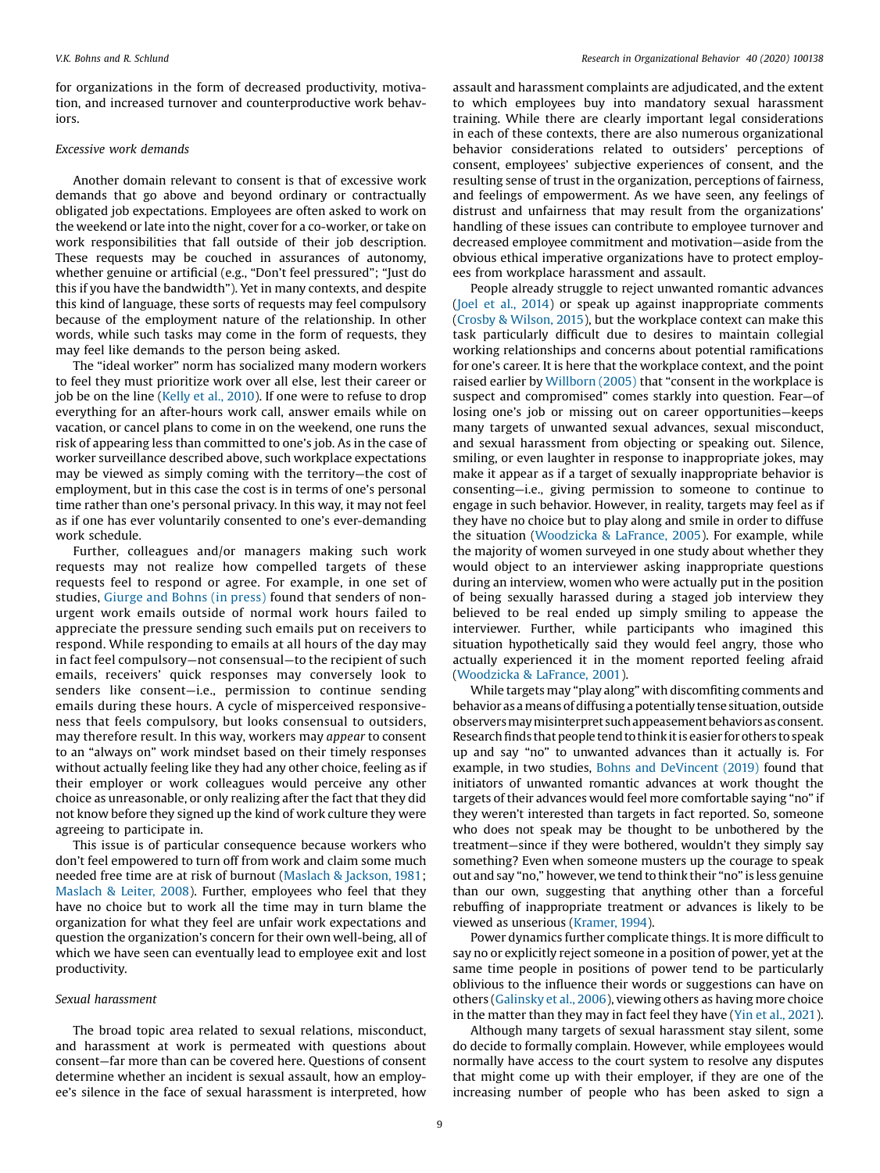for organizations in the form of decreased productivity, motivation, and increased turnover and counterproductive work behaviors.

### Excessive work demands

Another domain relevant to consent is that of excessive work demands that go above and beyond ordinary or contractually obligated job expectations. Employees are often asked to work on the weekend or late into the night, cover for a co-worker, or take on work responsibilities that fall outside of their job description. These requests may be couched in assurances of autonomy, whether genuine or artificial (e.g., "Don't feel pressured"; "Just do this if you have the bandwidth"). Yet in many contexts, and despite this kind of language, these sorts of requests may feel compulsory because of the employment nature of the relationship. In other words, while such tasks may come in the form of requests, they may feel like demands to the person being asked.

The "ideal worker" norm has socialized many modern workers to feel they must prioritize work over all else, lest their career or job be on the line ([Kelly](#page-12-0) et al., 2010). If one were to refuse to drop everything for an after-hours work call, answer emails while on vacation, or cancel plans to come in on the weekend, one runs the risk of appearing less than committed to one's job. As in the case of worker surveillance described above, such workplace expectations may be viewed as simply coming with the territory—the cost of employment, but in this case the cost is in terms of one's personal time rather than one's personal privacy. In this way, it may not feel as if one has ever voluntarily consented to one's ever-demanding work schedule.

Further, colleagues and/or managers making such work requests may not realize how compelled targets of these requests feel to respond or agree. For example, in one set of studies, [Giurge](#page-12-0) and Bohns (in press) found that senders of nonurgent work emails outside of normal work hours failed to appreciate the pressure sending such emails put on receivers to respond. While responding to emails at all hours of the day may in fact feel compulsory—not consensual—to the recipient of such emails, receivers' quick responses may conversely look to senders like consent—i.e., permission to continue sending emails during these hours. A cycle of misperceived responsiveness that feels compulsory, but looks consensual to outsiders, may therefore result. In this way, workers may appear to consent to an "always on" work mindset based on their timely responses without actually feeling like they had any other choice, feeling as if their employer or work colleagues would perceive any other choice as unreasonable, or only realizing after the fact that they did not know before they signed up the kind of work culture they were agreeing to participate in.

This issue is of particular consequence because workers who don't feel empowered to turn off from work and claim some much needed free time are at risk of burnout [\(Maslach](#page-13-0) & Jackson, 1981; [Maslach](#page-13-0) & Leiter, 2008). Further, employees who feel that they have no choice but to work all the time may in turn blame the organization for what they feel are unfair work expectations and question the organization's concern for their own well-being, all of which we have seen can eventually lead to employee exit and lost productivity.

### Sexual harassment

The broad topic area related to sexual relations, misconduct, and harassment at work is permeated with questions about consent—far more than can be covered here. Questions of consent determine whether an incident is sexual assault, how an employee's silence in the face of sexual harassment is interpreted, how

assault and harassment complaints are adjudicated, and the extent to which employees buy into mandatory sexual harassment training. While there are clearly important legal considerations in each of these contexts, there are also numerous organizational behavior considerations related to outsiders' perceptions of consent, employees' subjective experiences of consent, and the resulting sense of trust in the organization, perceptions of fairness, and feelings of empowerment. As we have seen, any feelings of distrust and unfairness that may result from the organizations' handling of these issues can contribute to employee turnover and decreased employee commitment and motivation—aside from the obvious ethical imperative organizations have to protect employees from workplace harassment and assault.

People already struggle to reject unwanted romantic advances (Joel et al., [2014](#page-12-0)) or speak up against inappropriate comments (Crosby & [Wilson,](#page-12-0) 2015), but the workplace context can make this task particularly difficult due to desires to maintain collegial working relationships and concerns about potential ramifications for one's career. It is here that the workplace context, and the point raised earlier by [Willborn](#page-14-0) (2005) that "consent in the workplace is suspect and compromised" comes starkly into question. Fear—of losing one's job or missing out on career opportunities—keeps many targets of unwanted sexual advances, sexual misconduct, and sexual harassment from objecting or speaking out. Silence, smiling, or even laughter in response to inappropriate jokes, may make it appear as if a target of sexually inappropriate behavior is consenting—i.e., giving permission to someone to continue to engage in such behavior. However, in reality, targets may feel as if they have no choice but to play along and smile in order to diffuse the situation [\(Woodzicka](#page-14-0) & LaFrance, 2005). For example, while the majority of women surveyed in one study about whether they would object to an interviewer asking inappropriate questions during an interview, women who were actually put in the position of being sexually harassed during a staged job interview they believed to be real ended up simply smiling to appease the interviewer. Further, while participants who imagined this situation hypothetically said they would feel angry, those who actually experienced it in the moment reported feeling afraid ([Woodzicka](#page-14-0) & LaFrance, 2001).

While targets may "play along" with discomfiting comments and behavior as a means of diffusing a potentially tense situation, outside observersmaymisinterpret such appeasement behaviors asconsent. Research finds that people tend to think it is easier for others to speak up and say "no" to unwanted advances than it actually is. For example, in two studies, Bohns and [DeVincent](#page-12-0) (2019) found that initiators of unwanted romantic advances at work thought the targets of their advances would feel more comfortable saying "no" if they weren't interested than targets in fact reported. So, someone who does not speak may be thought to be unbothered by the treatment—since if they were bothered, wouldn't they simply say something? Even when someone musters up the courage to speak out and say "no," however, we tend to think their "no" is less genuine than our own, suggesting that anything other than a forceful rebuffing of inappropriate treatment or advances is likely to be viewed as unserious [\(Kramer,](#page-13-0) 1994).

Power dynamics further complicate things. It is more difficult to say no or explicitly reject someone in a position of power, yet at the same time people in positions of power tend to be particularly oblivious to the influence their words or suggestions can have on others [\(Galinsky](#page-12-0) et al., 2006), viewing others as having more choice in the matter than they may in fact feel they have (Yin et al., [2021](#page-14-0)).

Although many targets of sexual harassment stay silent, some do decide to formally complain. However, while employees would normally have access to the court system to resolve any disputes that might come up with their employer, if they are one of the increasing number of people who has been asked to sign a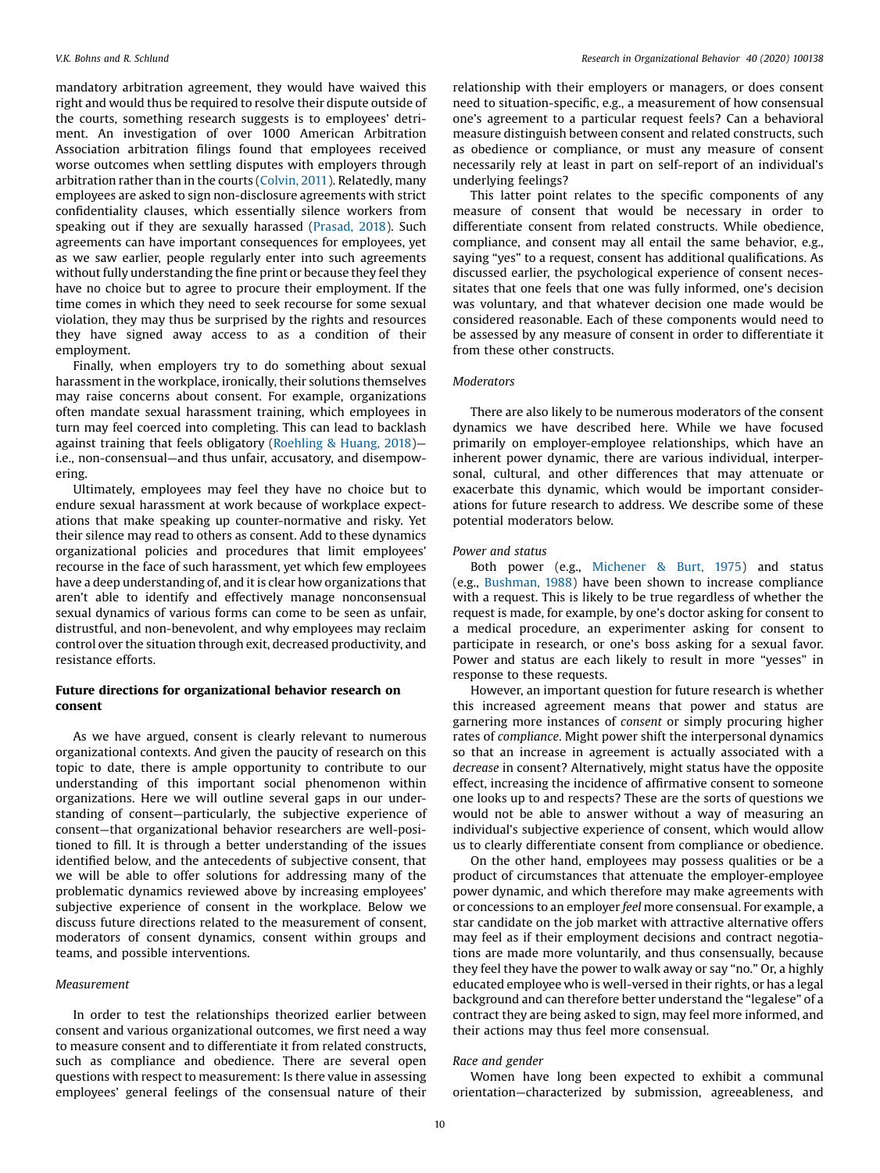mandatory arbitration agreement, they would have waived this right and would thus be required to resolve their dispute outside of the courts, something research suggests is to employees' detriment. An investigation of over 1000 American Arbitration Association arbitration filings found that employees received worse outcomes when settling disputes with employers through arbitration rather than in the courts [\(Colvin,](#page-12-0) 2011). Relatedly, many employees are asked to sign non-disclosure agreements with strict confidentiality clauses, which essentially silence workers from speaking out if they are sexually harassed [\(Prasad,](#page-13-0) 2018). Such agreements can have important consequences for employees, yet as we saw earlier, people regularly enter into such agreements without fully understanding the fine print or because they feel they have no choice but to agree to procure their employment. If the time comes in which they need to seek recourse for some sexual violation, they may thus be surprised by the rights and resources they have signed away access to as a condition of their employment.

Finally, when employers try to do something about sexual harassment in the workplace, ironically, their solutions themselves may raise concerns about consent. For example, organizations often mandate sexual harassment training, which employees in turn may feel coerced into completing. This can lead to backlash against training that feels obligatory [\(Roehling](#page-13-0) & Huang, 2018) i.e., non-consensual—and thus unfair, accusatory, and disempowering.

Ultimately, employees may feel they have no choice but to endure sexual harassment at work because of workplace expectations that make speaking up counter-normative and risky. Yet their silence may read to others as consent. Add to these dynamics organizational policies and procedures that limit employees' recourse in the face of such harassment, yet which few employees have a deep understanding of, and it is clear how organizations that aren't able to identify and effectively manage nonconsensual sexual dynamics of various forms can come to be seen as unfair, distrustful, and non-benevolent, and why employees may reclaim control over the situation through exit, decreased productivity, and resistance efforts.

### Future directions for organizational behavior research on consent

As we have argued, consent is clearly relevant to numerous organizational contexts. And given the paucity of research on this topic to date, there is ample opportunity to contribute to our understanding of this important social phenomenon within organizations. Here we will outline several gaps in our understanding of consent—particularly, the subjective experience of consent—that organizational behavior researchers are well-positioned to fill. It is through a better understanding of the issues identified below, and the antecedents of subjective consent, that we will be able to offer solutions for addressing many of the problematic dynamics reviewed above by increasing employees' subjective experience of consent in the workplace. Below we discuss future directions related to the measurement of consent, moderators of consent dynamics, consent within groups and teams, and possible interventions.

### Measurement

In order to test the relationships theorized earlier between consent and various organizational outcomes, we first need a way to measure consent and to differentiate it from related constructs, such as compliance and obedience. There are several open questions with respect to measurement: Is there value in assessing employees' general feelings of the consensual nature of their relationship with their employers or managers, or does consent need to situation-specific, e.g., a measurement of how consensual one's agreement to a particular request feels? Can a behavioral measure distinguish between consent and related constructs, such as obedience or compliance, or must any measure of consent necessarily rely at least in part on self-report of an individual's underlying feelings?

This latter point relates to the specific components of any measure of consent that would be necessary in order to differentiate consent from related constructs. While obedience, compliance, and consent may all entail the same behavior, e.g., saying "yes" to a request, consent has additional qualifications. As discussed earlier, the psychological experience of consent necessitates that one feels that one was fully informed, one's decision was voluntary, and that whatever decision one made would be considered reasonable. Each of these components would need to be assessed by any measure of consent in order to differentiate it from these other constructs.

### **Moderators**

There are also likely to be numerous moderators of the consent dynamics we have described here. While we have focused primarily on employer-employee relationships, which have an inherent power dynamic, there are various individual, interpersonal, cultural, and other differences that may attenuate or exacerbate this dynamic, which would be important considerations for future research to address. We describe some of these potential moderators below.

### Power and status

Both power (e.g., [Michener](#page-13-0) & Burt, 1975) and status (e.g., [Bushman,](#page-12-0) 1988) have been shown to increase compliance with a request. This is likely to be true regardless of whether the request is made, for example, by one's doctor asking for consent to a medical procedure, an experimenter asking for consent to participate in research, or one's boss asking for a sexual favor. Power and status are each likely to result in more "yesses" in response to these requests.

However, an important question for future research is whether this increased agreement means that power and status are garnering more instances of consent or simply procuring higher rates of compliance. Might power shift the interpersonal dynamics so that an increase in agreement is actually associated with a decrease in consent? Alternatively, might status have the opposite effect, increasing the incidence of affirmative consent to someone one looks up to and respects? These are the sorts of questions we would not be able to answer without a way of measuring an individual's subjective experience of consent, which would allow us to clearly differentiate consent from compliance or obedience.

On the other hand, employees may possess qualities or be a product of circumstances that attenuate the employer-employee power dynamic, and which therefore may make agreements with or concessions to an employer feel more consensual. For example, a star candidate on the job market with attractive alternative offers may feel as if their employment decisions and contract negotiations are made more voluntarily, and thus consensually, because they feel they have the power to walk away or say "no." Or, a highly educated employee who is well-versed in their rights, or has a legal background and can therefore better understand the "legalese" of a contract they are being asked to sign, may feel more informed, and their actions may thus feel more consensual.

### Race and gender

Women have long been expected to exhibit a communal orientation—characterized by submission, agreeableness, and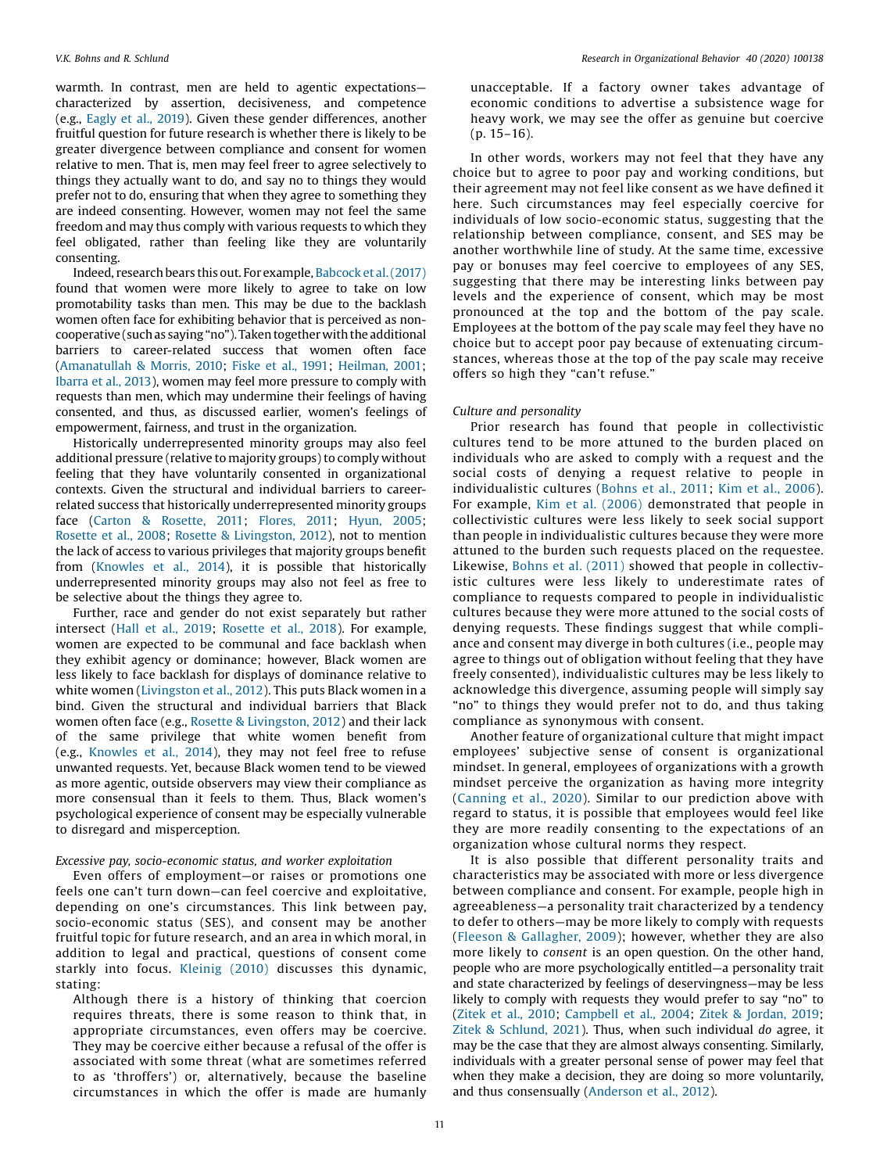warmth. In contrast, men are held to agentic expectations characterized by assertion, decisiveness, and competence (e.g., [Eagly](#page-12-0) et al., 2019). Given these gender differences, another fruitful question for future research is whether there is likely to be greater divergence between compliance and consent for women relative to men. That is, men may feel freer to agree selectively to things they actually want to do, and say no to things they would prefer not to do, ensuring that when they agree to something they are indeed consenting. However, women may not feel the same freedom and may thus comply with various requests to which they feel obligated, rather than feeling like they are voluntarily consenting.

Indeed, research bears this out. For example, Babcock et al. (2017) found that women were more likely to agree to take on low promotability tasks than men. This may be due to the backlash women often face for exhibiting behavior that is perceived as noncooperative (such as saying "no"). Taken together with the additional barriers to career-related success that women often face ([Amanatullah](#page-11-0) & Morris, 2010; [Fiske](#page-12-0) et al., 1991; [Heilman,](#page-12-0) 2001; [Ibarra](#page-12-0) et al., 2013), women may feel more pressure to comply with requests than men, which may undermine their feelings of having consented, and thus, as discussed earlier, women's feelings of empowerment, fairness, and trust in the organization.

Historically underrepresented minority groups may also feel additional pressure (relative to majority groups) to comply without feeling that they have voluntarily consented in organizational contexts. Given the structural and individual barriers to careerrelated success that historically underrepresented minority groups face (Carton & [Rosette,](#page-12-0) 2011; [Flores,](#page-12-0) 2011; [Hyun,](#page-12-0) 2005; [Rosette](#page-13-0) et al., 2008; Rosette & [Livingston,](#page-13-0) 2012), not to mention the lack of access to various privileges that majority groups benefit from [\(Knowles](#page-13-0) et al., 2014), it is possible that historically underrepresented minority groups may also not feel as free to be selective about the things they agree to.

Further, race and gender do not exist separately but rather intersect (Hall et al., [2019](#page-12-0); [Rosette](#page-13-0) et al., 2018). For example, women are expected to be communal and face backlash when they exhibit agency or dominance; however, Black women are less likely to face backlash for displays of dominance relative to white women ([Livingston](#page-13-0) et al., 2012). This puts Black women in a bind. Given the structural and individual barriers that Black women often face (e.g., Rosette & [Livingston,](#page-13-0) 2012) and their lack of the same privilege that white women benefit from (e.g., [Knowles](#page-13-0) et al., 2014), they may not feel free to refuse unwanted requests. Yet, because Black women tend to be viewed as more agentic, outside observers may view their compliance as more consensual than it feels to them. Thus, Black women's psychological experience of consent may be especially vulnerable to disregard and misperception.

### Excessive pay, socio-economic status, and worker exploitation

Even offers of employment—or raises or promotions one feels one can't turn down—can feel coercive and exploitative, depending on one's circumstances. This link between pay, socio-economic status (SES), and consent may be another fruitful topic for future research, and an area in which moral, in addition to legal and practical, questions of consent come starkly into focus. [Kleinig](#page-13-0) (2010) discusses this dynamic, stating:

Although there is a history of thinking that coercion requires threats, there is some reason to think that, in appropriate circumstances, even offers may be coercive. They may be coercive either because a refusal of the offer is associated with some threat (what are sometimes referred to as 'throffers') or, alternatively, because the baseline circumstances in which the offer is made are humanly unacceptable. If a factory owner takes advantage of economic conditions to advertise a subsistence wage for heavy work, we may see the offer as genuine but coercive (p. 15–16).

In other words, workers may not feel that they have any choice but to agree to poor pay and working conditions, but their agreement may not feel like consent as we have defined it here. Such circumstances may feel especially coercive for individuals of low socio-economic status, suggesting that the relationship between compliance, consent, and SES may be another worthwhile line of study. At the same time, excessive pay or bonuses may feel coercive to employees of any SES, suggesting that there may be interesting links between pay levels and the experience of consent, which may be most pronounced at the top and the bottom of the pay scale. Employees at the bottom of the pay scale may feel they have no choice but to accept poor pay because of extenuating circumstances, whereas those at the top of the pay scale may receive offers so high they "can't refuse."

### Culture and personality

Prior research has found that people in collectivistic cultures tend to be more attuned to the burden placed on individuals who are asked to comply with a request and the social costs of denying a request relative to people in individualistic cultures ([Bohns](#page-12-0) et al., 2011; Kim et al., [2006](#page-12-0)). For example, Kim et al. [\(2006\)](#page-12-0) demonstrated that people in collectivistic cultures were less likely to seek social support than people in individualistic cultures because they were more attuned to the burden such requests placed on the requestee. Likewise, Bohns et al. [\(2011\)](#page-12-0) showed that people in collectivistic cultures were less likely to underestimate rates of compliance to requests compared to people in individualistic cultures because they were more attuned to the social costs of denying requests. These findings suggest that while compliance and consent may diverge in both cultures (i.e., people may agree to things out of obligation without feeling that they have freely consented), individualistic cultures may be less likely to acknowledge this divergence, assuming people will simply say "no" to things they would prefer not to do, and thus taking compliance as synonymous with consent.

Another feature of organizational culture that might impact employees' subjective sense of consent is organizational mindset. In general, employees of organizations with a growth mindset perceive the organization as having more integrity ([Canning](#page-12-0) et al., 2020). Similar to our prediction above with regard to status, it is possible that employees would feel like they are more readily consenting to the expectations of an organization whose cultural norms they respect.

It is also possible that different personality traits and characteristics may be associated with more or less divergence between compliance and consent. For example, people high in agreeableness—a personality trait characterized by a tendency to defer to others—may be more likely to comply with requests (Fleeson & [Gallagher,](#page-12-0) 2009); however, whether they are also more likely to consent is an open question. On the other hand, people who are more psychologically entitled—a personality trait and state characterized by feelings of deservingness—may be less likely to comply with requests they would prefer to say "no" to ([Zitek](#page-14-0) et al., 2010; [Campbell](#page-12-0) et al., 2004; Zitek & [Jordan,](#page-14-0) 2019; Zitek & [Schlund,](#page-14-0) 2021). Thus, when such individual do agree, it may be the case that they are almost always consenting. Similarly, individuals with a greater personal sense of power may feel that when they make a decision, they are doing so more voluntarily, and thus consensually ([Anderson](#page-11-0) et al., 2012).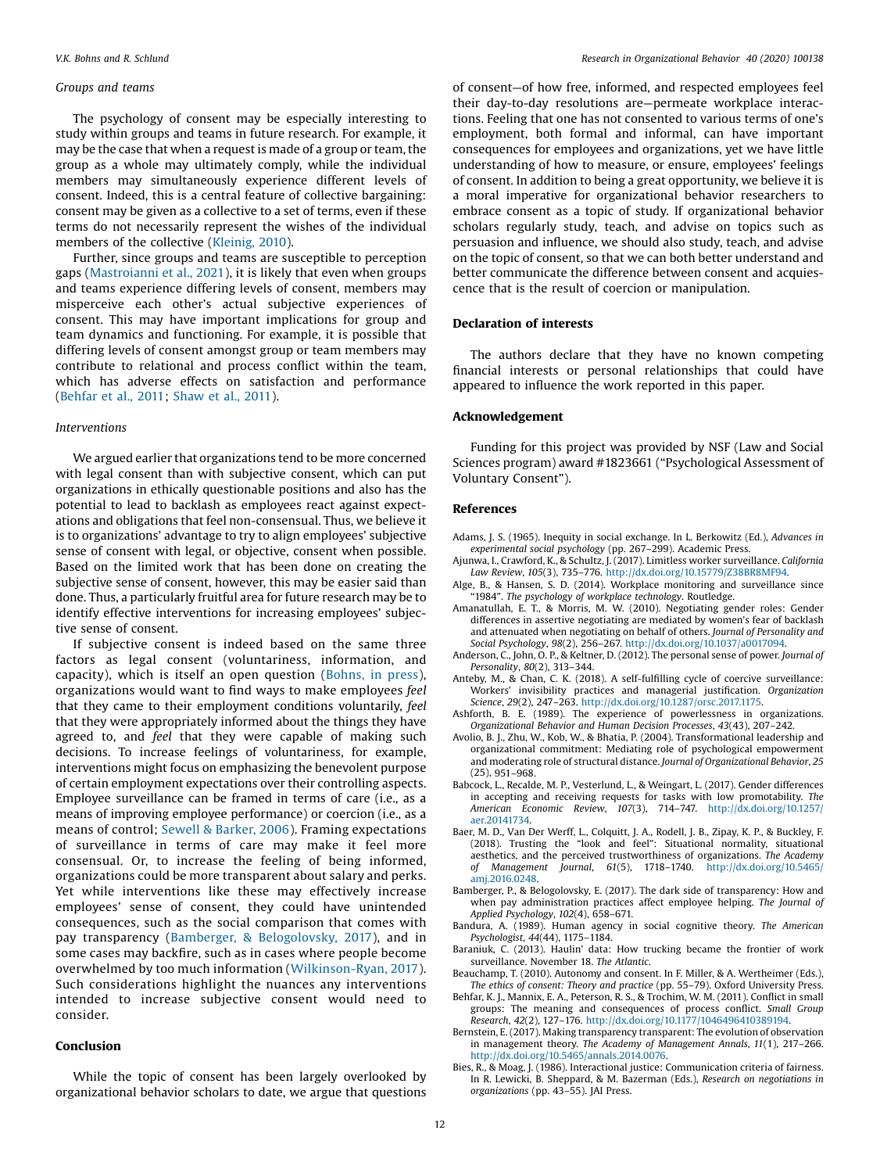### <span id="page-11-0"></span>Groups and teams

The psychology of consent may be especially interesting to study within groups and teams in future research. For example, it may be the case that when a request is made of a group or team, the group as a whole may ultimately comply, while the individual members may simultaneously experience different levels of consent. Indeed, this is a central feature of collective bargaining: consent may be given as a collective to a set of terms, even if these terms do not necessarily represent the wishes of the individual members of the collective ([Kleinig,](#page-13-0) 2010).

Further, since groups and teams are susceptible to perception gaps ([Mastroianni](#page-13-0) et al., 2021), it is likely that even when groups and teams experience differing levels of consent, members may misperceive each other's actual subjective experiences of consent. This may have important implications for group and team dynamics and functioning. For example, it is possible that differing levels of consent amongst group or team members may contribute to relational and process conflict within the team, which has adverse effects on satisfaction and performance (Behfar et al., 2011; [Shaw](#page-13-0) et al., 2011).

### Interventions

We argued earlier that organizations tend to be more concerned with legal consent than with subjective consent, which can put organizations in ethically questionable positions and also has the potential to lead to backlash as employees react against expectations and obligations that feel non-consensual. Thus, we believe it is to organizations' advantage to try to align employees' subjective sense of consent with legal, or objective, consent when possible. Based on the limited work that has been done on creating the subjective sense of consent, however, this may be easier said than done. Thus, a particularly fruitful area for future research may be to identify effective interventions for increasing employees' subjective sense of consent.

If subjective consent is indeed based on the same three factors as legal consent (voluntariness, information, and capacity), which is itself an open question ([Bohns,](#page-12-0) in press), organizations would want to find ways to make employees feel that they came to their employment conditions voluntarily, feel that they were appropriately informed about the things they have agreed to, and feel that they were capable of making such decisions. To increase feelings of voluntariness, for example, interventions might focus on emphasizing the benevolent purpose of certain employment expectations over their controlling aspects. Employee surveillance can be framed in terms of care (i.e., as a means of improving employee performance) or coercion (i.e., as a means of control; Sewell & [Barker,](#page-13-0) 2006). Framing expectations of surveillance in terms of care may make it feel more consensual. Or, to increase the feeling of being informed, organizations could be more transparent about salary and perks. Yet while interventions like these may effectively increase employees' sense of consent, they could have unintended consequences, such as the social comparison that comes with pay transparency (Bamberger, & Belogolovsky, 2017), and in some cases may backfire, such as in cases where people become overwhelmed by too much information ([Wilkinson-Ryan,](#page-14-0) 2017). Such considerations highlight the nuances any interventions intended to increase subjective consent would need to consider.

### Conclusion

While the topic of consent has been largely overlooked by organizational behavior scholars to date, we argue that questions of consent—of how free, informed, and respected employees feel their day-to-day resolutions are—permeate workplace interactions. Feeling that one has not consented to various terms of one's employment, both formal and informal, can have important consequences for employees and organizations, yet we have little understanding of how to measure, or ensure, employees' feelings of consent. In addition to being a great opportunity, we believe it is a moral imperative for organizational behavior researchers to embrace consent as a topic of study. If organizational behavior scholars regularly study, teach, and advise on topics such as persuasion and influence, we should also study, teach, and advise on the topic of consent, so that we can both better understand and better communicate the difference between consent and acquiescence that is the result of coercion or manipulation.

### Declaration of interests

The authors declare that they have no known competing financial interests or personal relationships that could have appeared to influence the work reported in this paper.

### Acknowledgement

Funding for this project was provided by NSF (Law and Social Sciences program) award #1823661 ("Psychological Assessment of Voluntary Consent").

### References

- Adams, J. S. (1965). Inequity in social exchange. In L. Berkowitz (Ed.), Advances in experimental social psychology (pp. 267–299). Academic Press.
- Ajunwa, I., Crawford, K., & Schultz, J. (2017). Limitless worker surveillance. California Law Review, 105(3), 735–776. [http://dx.doi.org/10.15779/Z38BR8MF94.](http://dx.doi.org/10.15779/Z38BR8MF94)
- Alge, B., & Hansen, S. D. (2014). Workplace monitoring and surveillance since "1984". The psychology of workplace technology. Routledge.
- Amanatullah, E. T., & Morris, M. W. (2010). Negotiating gender roles: Gender differences in assertive negotiating are mediated by women's fear of backlash and attenuated when negotiating on behalf of others. Journal of Personality and Social Psychology, 98(2), 256–267. <http://dx.doi.org/10.1037/a0017094>.
- Anderson, C., John, O. P., & Keltner, D. (2012). The personal sense of power. Journal of Personality, 80(2), 313–344.
- Anteby, M., & Chan, C. K. (2018). A self-fulfilling cycle of coercive surveillance: Workers' invisibility practices and managerial justification. Organization Science, 29(2), 247–263. <http://dx.doi.org/10.1287/orsc.2017.1175>.
- Ashforth, B. E. (1989). The experience of powerlessness in organizations. Organizational Behavior and Human Decision Processes, 43(43), 207–242.
- Avolio, B. J., Zhu, W., Kob, W., & Bhatia, P. (2004). Transformational leadership and organizational commitment: Mediating role of psychological empowerment and moderating role of structural distance. Journal of Organizational Behavior, 25 (25), 951–968.
- Babcock, L., Recalde, M. P., Vesterlund, L., & Weingart, L. (2017). Gender differences in accepting and receiving requests for tasks with low promotability. The American Economic Review, 107(3), 714–747. [http://dx.doi.org/10.1257/](http://dx.doi.org/10.1257/aer.20141734) [aer.20141734](http://dx.doi.org/10.1257/aer.20141734).
- Baer, M. D., Van Der Werff, L., Colquitt, J. A., Rodell, J. B., Zipay, K. P., & Buckley, F. (2018). Trusting the "look and feel": Situational normality, situational aesthetics, and the perceived trustworthiness of organizations. The Academy of Management Journal, 61(5), 1718–1740. [http://dx.doi.org/10.5465/](http://dx.doi.org/10.5465/amj.2016.0248) [amj.2016.0248](http://dx.doi.org/10.5465/amj.2016.0248).
- Bamberger, P., & Belogolovsky, E. (2017). The dark side of transparency: How and when pay administration practices affect employee helping. The Journal of Applied Psychology, 102(4), 658–671.
- Bandura, A. (1989). Human agency in social cognitive theory. The American Psychologist, 44(44), 1175–1184.
- Baraniuk, C. (2013). Haulin' data: How trucking became the frontier of work surveillance. November 18. The Atlantic.
- Beauchamp, T. (2010). Autonomy and consent. In F. Miller, & A. Wertheimer (Eds.), The ethics of consent: Theory and practice (pp. 55–79). Oxford University Press.
- Behfar, K. J., Mannix, E. A., Peterson, R. S., & Trochim, W. M. (2011). Conflict in small groups: The meaning and consequences of process conflict. Small Group Research, 42(2), 127–176. <http://dx.doi.org/10.1177/1046496410389194>.
- Bernstein, E. (2017). Making transparency transparent: The evolution of observation in management theory. The Academy of Management Annals, 11(1), 217–266. [http://dx.doi.org/10.5465/annals.2014.0076.](http://dx.doi.org/10.5465/annals.2014.0076)
- Bies, R., & Moag, J. (1986). Interactional justice: Communication criteria of fairness. In R. Lewicki, B. Sheppard, & M. Bazerman (Eds.), Research on negotiations in organizations (pp. 43–55). JAI Press.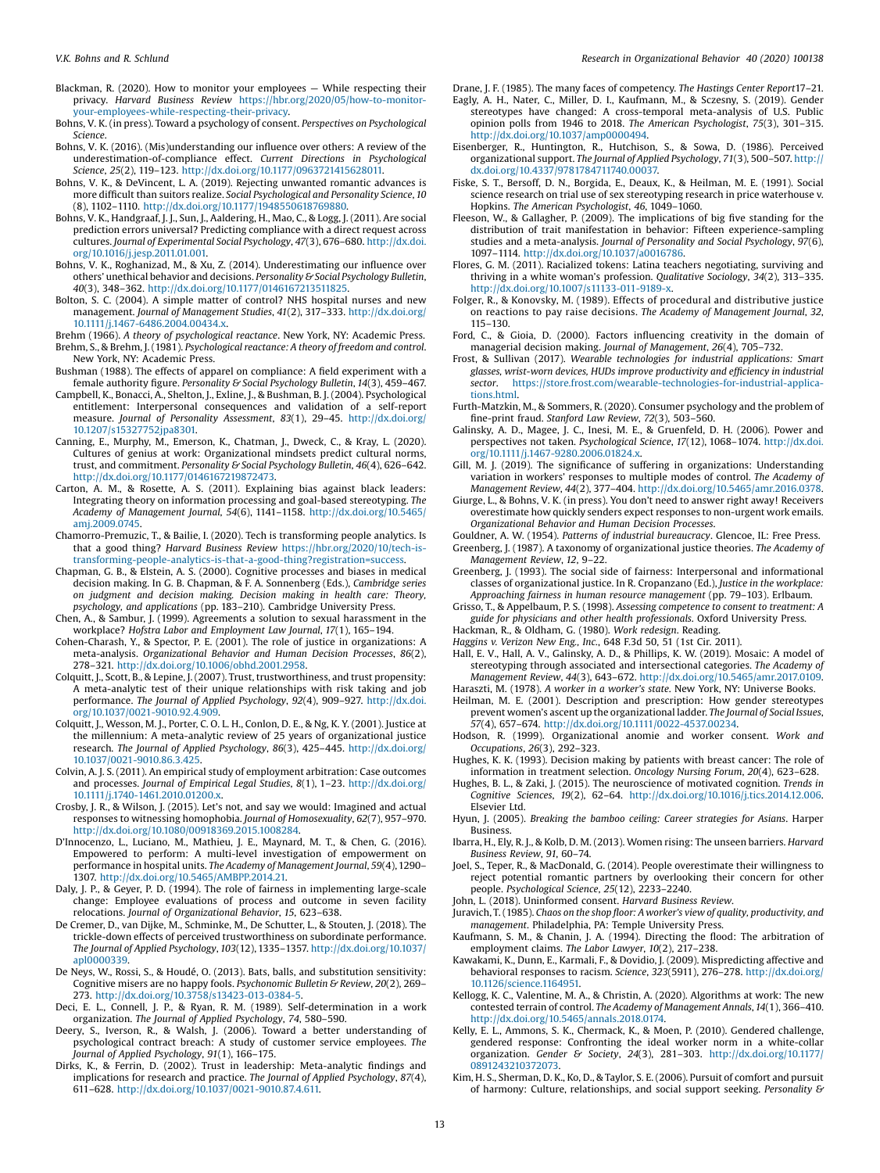- <span id="page-12-0"></span>Blackman, R. (2020). How to monitor your employees — While respecting their privacy. Harvard Business Review [https://hbr.org/2020/05/how-to-monitor](https://hbr.org/2020/05/how-to-monitor-your-employees-while-respecting-their-privacy)[your-employees-while-respecting-their-privacy.](https://hbr.org/2020/05/how-to-monitor-your-employees-while-respecting-their-privacy)
- Bohns, V. K. (in press). Toward a psychology of consent. Perspectives on Psychological Science.
- Bohns, V. K. (2016). (Mis)understanding our influence over others: A review of the underestimation-of-compliance effect. Current Directions in Psychological Science, 25(2), 119–123. [http://dx.doi.org/10.1177/0963721415628011.](http://dx.doi.org/10.1177/0963721415628011)
- Bohns, V. K., & DeVincent, L. A. (2019). Rejecting unwanted romantic advances is more difficult than suitors realize. Social Psychological and Personality Science, 10 (8), 1102–1110. [http://dx.doi.org/10.1177/1948550618769880.](http://dx.doi.org/10.1177/1948550618769880)
- Bohns, V. K., Handgraaf, J. J., Sun, J., Aaldering, H., Mao, C., & Logg, J. (2011). Are social prediction errors universal? Predicting compliance with a direct request across cultures. Journal of Experimental Social Psychology, 47(3), 676–680. [http://dx.doi.](http://dx.doi.org/10.1016/j.jesp.2011.01.001) [org/10.1016/j.jesp.2011.01.001.](http://dx.doi.org/10.1016/j.jesp.2011.01.001)
- Bohns, V. K., Roghanizad, M., & Xu, Z. (2014). Underestimating our influence over others' unethical behavior and decisions. Personality & Social Psychology Bulletin, 40(3), 348–362. <http://dx.doi.org/10.1177/0146167213511825>.
- Bolton, S. C. (2004). A simple matter of control? NHS hospital nurses and new management. Journal of Management Studies, 41(2), 317–333. [http://dx.doi.org/](http://dx.doi.org/10.1111/j.1467-6486.2004.00434.x) [10.1111/j.1467-6486.2004.00434.x](http://dx.doi.org/10.1111/j.1467-6486.2004.00434.x).
- Brehm (1966). A theory of psychological reactance. New York, NY: Academic Press. Brehm, S., & Brehm, J. (1981). Psychological reactance: A theory of freedom and control. New York, NY: Academic Press.
- Bushman (1988). The effects of apparel on compliance: A field experiment with a female authority figure. Personality & Social Psychology Bulletin, 14(3), 459-467.
- Campbell, K., Bonacci, A., Shelton, J., Exline, J., & Bushman, B. J. (2004). Psychological entitlement: Interpersonal consequences and validation of a self-report measure. Journal of Personality Assessment, 83(1), 29–45. [http://dx.doi.org/](http://dx.doi.org/10.1207/s15327752jpa8301) [10.1207/s15327752jpa8301.](http://dx.doi.org/10.1207/s15327752jpa8301)
- Canning, E., Murphy, M., Emerson, K., Chatman, J., Dweck, C., & Kray, L. (2020). Cultures of genius at work: Organizational mindsets predict cultural norms, trust, and commitment. Personality & Social Psychology Bulletin, 46(4), 626-642. [http://dx.doi.org/10.1177/0146167219872473.](http://dx.doi.org/10.1177/0146167219872473)
- Carton, A. M., & Rosette, A. S. (2011). Explaining bias against black leaders: Integrating theory on information processing and goal-based stereotyping. The Academy of Management Journal, 54(6), 1141–1158. [http://dx.doi.org/10.5465/](http://dx.doi.org/10.5465/amj.2009.0745) [amj.2009.0745.](http://dx.doi.org/10.5465/amj.2009.0745)
- Chamorro-Premuzic, T., & Bailie, I. (2020). Tech is transforming people analytics. Is that a good thing? Harvard Business Review [https://hbr.org/2020/10/tech-is](https://hbr.org/2020/10/tech-is-transforming-people-analytics-is-that-a-good-thing?registration=success)[transforming-people-analytics-is-that-a-good-thing?registration=success.](https://hbr.org/2020/10/tech-is-transforming-people-analytics-is-that-a-good-thing?registration=success)
- Chapman, G. B., & Elstein, A. S. (2000). Cognitive processes and biases in medical decision making. In G. B. Chapman, & F. A. Sonnenberg (Eds.), Cambridge series on judgment and decision making. Decision making in health care: Theory, psychology, and applications (pp. 183–210). Cambridge University Press.
- Chen, A., & Sambur, J. (1999). Agreements a solution to sexual harassment in the workplace? Hofstra Labor and Employment Law Journal, 17(1), 165–194.
- Cohen-Charash, Y., & Spector, P. E. (2001). The role of justice in organizations: A meta-analysis. Organizational Behavior and Human Decision Processes, 86(2), 278–321. [http://dx.doi.org/10.1006/obhd.2001.2958.](http://dx.doi.org/10.1006/obhd.2001.2958)
- Colquitt, J., Scott, B., & Lepine, J. (2007). Trust, trustworthiness, and trust propensity: A meta-analytic test of their unique relationships with risk taking and job performance. The Journal of Applied Psychology, 92(4), 909–927. [http://dx.doi.](http://dx.doi.org/10.1037/0021-9010.92.4.909) [org/10.1037/0021-9010.92.4.909.](http://dx.doi.org/10.1037/0021-9010.92.4.909)
- Colquitt, J., Wesson, M. J., Porter, C. O. L. H., Conlon, D. E., & Ng, K. Y. (2001). Justice at the millennium: A meta-analytic review of 25 years of organizational justice research. The Journal of Applied Psychology, 86(3), 425–445. [http://dx.doi.org/](http://dx.doi.org/10.1037/0021-9010.86.3.425) [10.1037/0021-9010.86.3.425](http://dx.doi.org/10.1037/0021-9010.86.3.425).
- Colvin, A. J. S. (2011). An empirical study of employment arbitration: Case outcomes and processes. Journal of Empirical Legal Studies, 8(1), 1-23. [http://dx.doi.org/](http://dx.doi.org/10.1111/j.1740-1461.2010.01200.x) [10.1111/j.1740-1461.2010.01200.x.](http://dx.doi.org/10.1111/j.1740-1461.2010.01200.x)
- Crosby, J. R., & Wilson, J. (2015). Let's not, and say we would: Imagined and actual responses to witnessing homophobia. Journal of Homosexuality, 62(7), 957–970. <http://dx.doi.org/10.1080/00918369.2015.1008284>.
- D'Innocenzo, L., Luciano, M., Mathieu, J. E., Maynard, M. T., & Chen, G. (2016). Empowered to perform: A multi-level investigation of empowerment on performance in hospital units. The Academy of Management Journal, 59(4), 1290– 1307. [http://dx.doi.org/10.5465/AMBPP.2014.21.](http://dx.doi.org/10.5465/AMBPP.2014.21)
- Daly, J. P., & Geyer, P. D. (1994). The role of fairness in implementing large-scale change: Employee evaluations of process and outcome in seven facility relocations. Journal of Organizational Behavior, 15, 623–638.
- De Cremer, D., van Dijke, M., Schminke, M., De Schutter, L., & Stouten, J. (2018). The trickle-down effects of perceived trustworthiness on subordinate performance. The Journal of Applied Psychology, 103(12), 1335–1357. [http://dx.doi.org/10.1037/](http://dx.doi.org/10.1037/apl0000339) [apl0000339](http://dx.doi.org/10.1037/apl0000339).
- De Neys, W., Rossi, S., & Houdé, O. (2013). Bats, balls, and substitution sensitivity: Cognitive misers are no happy fools. Psychonomic Bulletin & Review, 20(2), 269– 273. [http://dx.doi.org/10.3758/s13423-013-0384-5.](http://dx.doi.org/10.3758/s13423-013-0384-5)
- Deci, E. L., Connell, J. P., & Ryan, R. M. (1989). Self-determination in a work organization. The Journal of Applied Psychology, 74, 580–590.
- Deery, S., Iverson, R., & Walsh, J. (2006). Toward a better understanding of psychological contract breach: A study of customer service employees. The Journal of Applied Psychology, 91(1), 166–175.
- Dirks, K., & Ferrin, D. (2002). Trust in leadership: Meta-analytic findings and implications for research and practice. The Journal of Applied Psychology, 87(4), 611–628. [http://dx.doi.org/10.1037/0021-9010.87.4.611.](http://dx.doi.org/10.1037/0021-9010.87.4.611)

Drane, J. F. (1985). The many faces of competency. The Hastings Center Report17–21.

- Eagly, A. H., Nater, C., Miller, D. I., Kaufmann, M., & Sczesny, S. (2019). Gender stereotypes have changed: A cross-temporal meta-analysis of U.S. Public opinion polls from 1946 to 2018. The American Psychologist, 75(3), 301–315. [http://dx.doi.org/10.1037/amp0000494.](http://dx.doi.org/10.1037/amp0000494)
- Eisenberger, R., Huntington, R., Hutchison, S., & Sowa, D. (1986). Perceived organizational support. The Journal of Applied Psychology, 71(3), 500–507. [http://](http://dx.doi.org/10.4337/9781784711740.00037) [dx.doi.org/10.4337/9781784711740.00037.](http://dx.doi.org/10.4337/9781784711740.00037)
- Fiske, S. T., Bersoff, D. N., Borgida, E., Deaux, K., & Heilman, M. E. (1991). Social science research on trial use of sex stereotyping research in price waterhouse v. Hopkins. The American Psychologist, 46, 1049–1060.
- Fleeson, W., & Gallagher, P. (2009). The implications of big five standing for the distribution of trait manifestation in behavior: Fifteen experience-sampling studies and a meta-analysis. Journal of Personality and Social Psychology, 97(6), 1097–1114. [http://dx.doi.org/10.1037/a0016786.](http://dx.doi.org/10.1037/a0016786)
- Flores, G. M. (2011). Racialized tokens: Latina teachers negotiating, surviving and thriving in a white woman's profession. Qualitative Sociology, 34(2), 313–335. <http://dx.doi.org/10.1007/s11133-011-9189-x>.
- Folger, R., & Konovsky, M. (1989). Effects of procedural and distributive justice on reactions to pay raise decisions. The Academy of Management Journal, 32, 115–130.
- Ford, C., & Gioia, D. (2000). Factors influencing creativity in the domain of managerial decision making. Journal of Management, 26(4), 705–732.
- Frost, & Sullivan (2017). Wearable technologies for industrial applications: Smart glasses, wrist-worn devices, HUDs improve productivity and efficiency in industrial sector. [https://store.frost.com/wearable-technologies-for-industrial-applica](https://store.frost.com/wearable-technologies-for-industrial-applications.html)[tions.html.](https://store.frost.com/wearable-technologies-for-industrial-applications.html)
- Furth-Matzkin, M., & Sommers, R. (2020). Consumer psychology and the problem of fine-print fraud. Stanford Law Review, 72(3), 503–560. Galinsky, A. D., Magee, J. C., Inesi, M. E., & Gruenfeld, D. H. (2006). Power and
- perspectives not taken. Psychological Science, 17(12), 1068–1074. [http://dx.doi.](http://dx.doi.org/10.1111/j.1467-9280.2006.01824.x) [org/10.1111/j.1467-9280.2006.01824.x](http://dx.doi.org/10.1111/j.1467-9280.2006.01824.x).
- Gill, M. J. (2019). The significance of suffering in organizations: Understanding variation in workers' responses to multiple modes of control. The Academy of Management Review, 44(2), 377–404. <http://dx.doi.org/10.5465/amr.2016.0378>.
- Giurge, L., & Bohns, V. K. (in press). You don't need to answer right away! Receivers overestimate how quickly senders expect responses to non-urgent work emails. Organizational Behavior and Human Decision Processes.
- Gouldner, A. W. (1954). Patterns of industrial bureaucracy. Glencoe, IL: Free Press. Greenberg, J. (1987). A taxonomy of organizational justice theories. The Academy of Management Review, 12, 9–22.
- Greenberg, J. (1993). The social side of fairness: Interpersonal and informational classes of organizational justice. In R. Cropanzano (Ed.), Justice in the workplace: Approaching fairness in human resource management (pp. 79–103). Erlbaum.
- Grisso, T., & Appelbaum, P. S. (1998). Assessing competence to consent to treatment: A guide for physicians and other health professionals. Oxford University Press.
- Hackman, R., & Oldham, G. (1980). Work redesign. Reading.
- Haggins v. Verizon New Eng., Inc., 648 F.3d 50, 51 (1st Cir. 2011). Hall, E. V., Hall, A. V., Galinsky, A. D., & Phillips, K. W. (2019). Mosaic: A model of
- stereotyping through associated and intersectional categories. The Academy of Management Review, 44(3), 643–672. <http://dx.doi.org/10.5465/amr.2017.0109>. Haraszti, M. (1978). A worker in a worker's state. New York, NY: Universe Books.
- Heilman, M. E. (2001). Description and prescription: How gender stereotypes
- prevent women's ascent up the organizational ladder. The Journal of Social Issues, 57(4), 657–674. [http://dx.doi.org/10.1111/0022-4537.00234.](http://dx.doi.org/10.1111/0022-4537.00234)
- Hodson, R. (1999). Organizational anomie and worker consent. Work and Occupations, 26(3), 292–323.
- Hughes, K. K. (1993). Decision making by patients with breast cancer: The role of information in treatment selection. Oncology Nursing Forum, 20(4), 623–628.
- Hughes, B. L., & Zaki, J. (2015). The neuroscience of motivated cognition. Trends in Cognitive Sciences, 19(2), 62–64. <http://dx.doi.org/10.1016/j.tics.2014.12.006>. Elsevier Ltd.
- Hyun, J. (2005). Breaking the bamboo ceiling: Career strategies for Asians. Harper Business.
- Ibarra, H., Ely, R. J., & Kolb, D. M. (2013). Women rising: The unseen barriers. Harvard Business Review, 91, 60–74.
- Joel, S., Teper, R., & MacDonald, G. (2014). People overestimate their willingness to reject potential romantic partners by overlooking their concern for other people. Psychological Science, 25(12), 2233–2240.
- John, L. (2018). Uninformed consent. Harvard Business Review.
- Juravich, T.(1985). Chaos on the shop floor: A worker's view of quality, productivity, and management. Philadelphia, PA: Temple University Press.
- Kaufmann, S. M., & Chanin, J. A. (1994). Directing the flood: The arbitration of employment claims. The Labor Lawyer, 10(2), 217–238.
- Kawakami, K., Dunn, E., Karmali, F., & Dovidio, J. (2009). Mispredicting affective and behavioral responses to racism. Science, 323(5911), 276–278. [http://dx.doi.org/](http://dx.doi.org/10.1126/science.1164951) [10.1126/science.1164951.](http://dx.doi.org/10.1126/science.1164951)
- Kellogg, K. C., Valentine, M. A., & Christin, A. (2020). Algorithms at work: The new contested terrain of control. The Academy of Management Annals,14(1), 366–410. <http://dx.doi.org/10.5465/annals.2018.0174>.
- Kelly, E. L., Ammons, S. K., Chermack, K., & Moen, P. (2010). Gendered challenge, gendered response: Confronting the ideal worker norm in a white-collar organization. Gender & Society, 24(3), 281–303. [http://dx.doi.org/10.1177/](http://dx.doi.org/10.1177/0891243210372073) [0891243210372073](http://dx.doi.org/10.1177/0891243210372073).
- Kim, H. S., Sherman, D. K., Ko, D., & Taylor, S. E. (2006). Pursuit of comfort and pursuit of harmony: Culture, relationships, and social support seeking. Personality &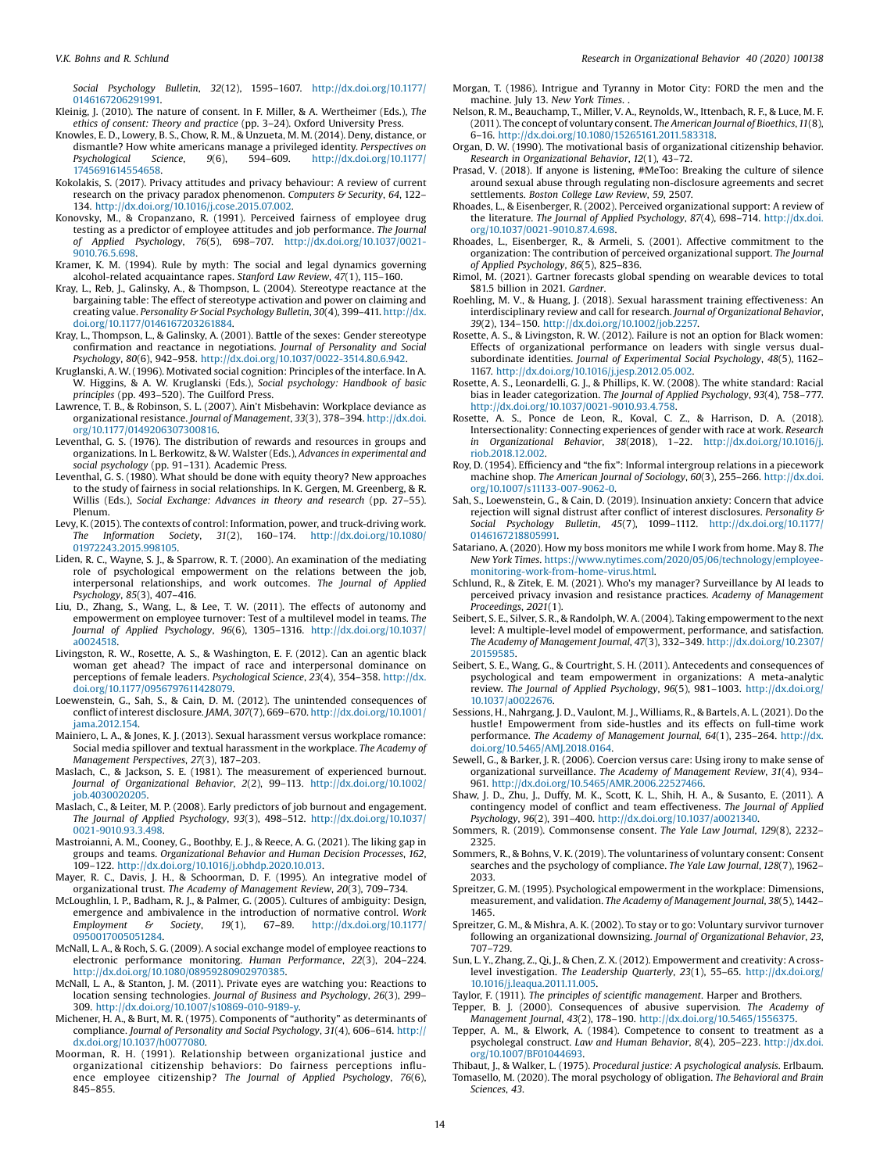<span id="page-13-0"></span>Social Psychology Bulletin, 32(12), 1595–1607. [http://dx.doi.org/10.1177/](http://dx.doi.org/10.1177/0146167206291991) [0146167206291991.](http://dx.doi.org/10.1177/0146167206291991)

- Kleinig, J. (2010). The nature of consent. In F. Miller, & A. Wertheimer (Eds.), The ethics of consent: Theory and practice (pp. 3–24). Oxford University Press.
- Knowles, E. D., Lowery, B. S., Chow, R. M., & Unzueta, M. M. (2014). Deny, distance, or dismantle? How white americans manage a privileged identity. Perspectives on Psychological Science,  $9(6)$ ,  $594-609$ . http://dx.doi.org/10.1177/ Psychological Science, 9(6), 594–609. [http://dx.doi.org/10.1177/](http://dx.doi.org/10.1177/1745691614554658) [1745691614554658.](http://dx.doi.org/10.1177/1745691614554658)
- Kokolakis, S. (2017). Privacy attitudes and privacy behaviour: A review of current research on the privacy paradox phenomenon. Computers & Security, 64, 122-134. <http://dx.doi.org/10.1016/j.cose.2015.07.002>.
- Konovsky, M., & Cropanzano, R. (1991). Perceived fairness of employee drug testing as a predictor of employee attitudes and job performance. The Journal of Applied Psychology, 76(5), 698–707. [http://dx.doi.org/10.1037/0021-](http://dx.doi.org/10.1037/0021-9010.76.5.698) [9010.76.5.698.](http://dx.doi.org/10.1037/0021-9010.76.5.698)

Kramer, K. M. (1994). Rule by myth: The social and legal dynamics governing alcohol-related acquaintance rapes. Stanford Law Review, 47(1), 115–160.

- Kray, L., Reb, J., Galinsky, A., & Thompson, L. (2004). Stereotype reactance at the bargaining table: The effect of stereotype activation and power on claiming and creating value. Personality & Social Psychology Bulletin, 30(4), 399-411. [http://dx.](http://dx.doi.org/10.1177/0146167203261884) [doi.org/10.1177/0146167203261884](http://dx.doi.org/10.1177/0146167203261884).
- Kray, L., Thompson, L., & Galinsky, A. (2001). Battle of the sexes: Gender stereotype confirmation and reactance in negotiations. Journal of Personality and Social Psychology, 80(6), 942–958. [http://dx.doi.org/10.1037/0022-3514.80.6.942.](http://dx.doi.org/10.1037/0022-3514.80.6.942)
- Kruglanski, A. W. (1996). Motivated social cognition: Principles of the interface. In A. W. Higgins, & A. W. Kruglanski (Eds.), Social psychology: Handbook of basic principles (pp. 493–520). The Guilford Press.
- Lawrence, T. B., & Robinson, S. L. (2007). Ain't Misbehavin: Workplace deviance as organizational resistance. Journal of Management, 33(3), 378–394. [http://dx.doi.](http://dx.doi.org/10.1177/0149206307300816) [org/10.1177/0149206307300816](http://dx.doi.org/10.1177/0149206307300816).
- Leventhal, G. S. (1976). The distribution of rewards and resources in groups and organizations. In L. Berkowitz, & W. Walster (Eds.), Advances in experimental and social psychology (pp. 91–131). Academic Press.
- Leventhal, G. S. (1980). What should be done with equity theory? New approaches to the study of fairness in social relationships. In K. Gergen, M. Greenberg, & R. Willis (Eds.), Social Exchange: Advances in theory and research (pp. 27–55). Plenum.
- Levy, K. (2015). The contexts of control: Information, power, and truck-driving work. The Information Society, 31(2), 160–174. [http://dx.doi.org/10.1080/](http://dx.doi.org/10.1080/01972243.2015.998105) [01972243.2015.998105.](http://dx.doi.org/10.1080/01972243.2015.998105)
- Liden, R. C., Wayne, S. J., & Sparrow, R. T. (2000). An examination of the mediating role of psychological empowerment on the relations between the job, interpersonal relationships, and work outcomes. The Journal of Applied Psychology, 85(3), 407–416.
- Liu, D., Zhang, S., Wang, L., & Lee, T. W. (2011). The effects of autonomy and empowerment on employee turnover: Test of a multilevel model in teams. The Journal of Applied Psychology, 96(6), 1305–1316. [http://dx.doi.org/10.1037/](http://dx.doi.org/10.1037/a0024518) [a0024518](http://dx.doi.org/10.1037/a0024518).
- Livingston, R. W., Rosette, A. S., & Washington, E. F. (2012). Can an agentic black woman get ahead? The impact of race and interpersonal dominance on perceptions of female leaders. Psychological Science, 23(4), 354–358. [http://dx.](http://dx.doi.org/10.1177/0956797611428079) [doi.org/10.1177/0956797611428079](http://dx.doi.org/10.1177/0956797611428079).
- Loewenstein, G., Sah, S., & Cain, D. M. (2012). The unintended consequences of conflict of interest disclosure. JAMA, 307(7), 669–670. [http://dx.doi.org/10.1001/](http://dx.doi.org/10.1001/jama.2012.154) [jama.2012.154](http://dx.doi.org/10.1001/jama.2012.154).
- Mainiero, L. A., & Jones, K. J. (2013). Sexual harassment versus workplace romance: Social media spillover and textual harassment in the workplace. The Academy of Management Perspectives, 27(3), 187–203.
- Maslach, C., & Jackson, S. E. (1981). The measurement of experienced burnout. Journal of Organizational Behavior, 2(2), 99–113. [http://dx.doi.org/10.1002/](http://dx.doi.org/10.1002/job.4030020205) [job.4030020205](http://dx.doi.org/10.1002/job.4030020205).
- Maslach, C., & Leiter, M. P. (2008). Early predictors of job burnout and engagement. The Journal of Applied Psychology, 93(3), 498–512. [http://dx.doi.org/10.1037/](http://dx.doi.org/10.1037/0021-9010.93.3.498) [0021-9010.93.3.498](http://dx.doi.org/10.1037/0021-9010.93.3.498).
- Mastroianni, A. M., Cooney, G., Boothby, E. J., & Reece, A. G. (2021). The liking gap in groups and teams. Organizational Behavior and Human Decision Processes, 162, 109–122. <http://dx.doi.org/10.1016/j.obhdp.2020.10.013>.
- Mayer, R. C., Davis, J. H., & Schoorman, D. F. (1995). An integrative model of organizational trust. The Academy of Management Review, 20(3), 709–734.
- McLoughlin, I. P., Badham, R. J., & Palmer, G. (2005). Cultures of ambiguity: Design, emergence and ambivalence in the introduction of normative control. Work Employment & Society, 19(1), 67–89. [http://dx.doi.org/10.1177/](http://dx.doi.org/10.1177/0950017005051284) [0950017005051284.](http://dx.doi.org/10.1177/0950017005051284)
- McNall, L. A., & Roch, S. G. (2009). A social exchange model of employee reactions to electronic performance monitoring. Human Performance, 22(3), 204–224. [http://dx.doi.org/10.1080/08959280902970385.](http://dx.doi.org/10.1080/08959280902970385)
- McNall, L. A., & Stanton, J. M. (2011). Private eyes are watching you: Reactions to location sensing technologies. Journal of Business and Psychology, 26(3), 299– 309. <http://dx.doi.org/10.1007/s10869-010-9189-y>.
- Michener, H. A., & Burt, M. R. (1975). Components of "authority" as determinants of compliance. Journal of Personality and Social Psychology, 31(4), 606–614. [http://](http://dx.doi.org/10.1037/h0077080) [dx.doi.org/10.1037/h0077080.](http://dx.doi.org/10.1037/h0077080)
- Moorman, R. H. (1991). Relationship between organizational justice and organizational citizenship behaviors: Do fairness perceptions influence employee citizenship? The Journal of Applied Psychology, 76(6), 845–855.
- Morgan, T. (1986). Intrigue and Tyranny in Motor City: FORD the men and the machine. July 13. New York Times. .
- Nelson, R. M., Beauchamp, T., Miller, V. A., Reynolds, W., Ittenbach, R. F., & Luce, M. F. (2011). The concept of voluntary consent. The American Journal of Bioethics,11(8), 6–16. [http://dx.doi.org/10.1080/15265161.2011.583318.](http://dx.doi.org/10.1080/15265161.2011.583318)
- Organ, D. W. (1990). The motivational basis of organizational citizenship behavior. Research in Organizational Behavior, 12(1), 43–72.
- Prasad, V. (2018). If anyone is listening, #MeToo: Breaking the culture of silence around sexual abuse through regulating non-disclosure agreements and secret settlements. Boston College Law Review, 59, 2507.
- Rhoades, L., & Eisenberger, R. (2002). Perceived organizational support: A review of the literature. The Journal of Applied Psychology, 87(4), 698–714. [http://dx.doi.](http://dx.doi.org/10.1037/0021-9010.87.4.698) [org/10.1037/0021-9010.87.4.698](http://dx.doi.org/10.1037/0021-9010.87.4.698).
- Rhoades, L., Eisenberger, R., & Armeli, S. (2001). Affective commitment to the organization: The contribution of perceived organizational support. The Journal of Applied Psychology, 86(5), 825–836.
- Rimol, M. (2021). Gartner forecasts global spending on wearable devices to total \$81.5 billion in 2021. Gardner.
- Roehling, M. V., & Huang, J. (2018). Sexual harassment training effectiveness: An interdisciplinary review and call for research. Journal of Organizational Behavior, 39(2), 134–150. [http://dx.doi.org/10.1002/job.2257.](http://dx.doi.org/10.1002/job.2257)
- Rosette, A. S., & Livingston, R. W. (2012). Failure is not an option for Black women: Effects of organizational performance on leaders with single versus dualsubordinate identities. Journal of Experimental Social Psychology, 48(5), 1162– 1167. [http://dx.doi.org/10.1016/j.jesp.2012.05.002.](http://dx.doi.org/10.1016/j.jesp.2012.05.002)
- Rosette, A. S., Leonardelli, G. J., & Phillips, K. W. (2008). The white standard: Racial bias in leader categorization. The Journal of Applied Psychology, 93(4), 758–777. <http://dx.doi.org/10.1037/0021-9010.93.4.758>.
- Rosette, A. S., Ponce de Leon, R., Koval, C. Z., & Harrison, D. A. (2018). Intersectionality: Connecting experiences of gender with race at work. Research in Organizational Behavior, 38(2018), 1–22. [http://dx.doi.org/10.1016/j.](http://dx.doi.org/10.1016/j.riob.2018.12.002) [riob.2018.12.002.](http://dx.doi.org/10.1016/j.riob.2018.12.002)
- Roy, D. (1954). Efficiency and "the fix": Informal intergroup relations in a piecework machine shop. The American Journal of Sociology, 60(3), 255–266. [http://dx.doi.](http://dx.doi.org/10.1007/s11133-007-9062-0) [org/10.1007/s11133-007-9062-0](http://dx.doi.org/10.1007/s11133-007-9062-0).
- Sah, S., Loewenstein, G., & Cain, D. (2019). Insinuation anxiety: Concern that advice rejection will signal distrust after conflict of interest disclosures. Personality & Social Psychology Bulletin, 45(7), 1099–1112. [http://dx.doi.org/10.1177/](http://dx.doi.org/10.1177/0146167218805991) [0146167218805991.](http://dx.doi.org/10.1177/0146167218805991)
- Satariano, A. (2020). How my boss monitors me while I work from home. May 8. The New York Times. [https://www.nytimes.com/2020/05/06/technology/employee](https://www.nytimes.com/2020/05/06/technology/employee-monitoring-work-from-home-virus.html)[monitoring-work-from-home-virus.html.](https://www.nytimes.com/2020/05/06/technology/employee-monitoring-work-from-home-virus.html)
- Schlund, R., & Zitek, E. M. (2021). Who's my manager? Surveillance by AI leads to perceived privacy invasion and resistance practices. Academy of Management Proceedings, 2021(1).
- Seibert, S. E., Silver, S. R., & Randolph, W. A. (2004). Taking empowerment to the next level: A multiple-level model of empowerment, performance, and satisfaction. The Academy of Management Journal, 47(3), 332–349. [http://dx.doi.org/10.2307/](http://dx.doi.org/10.2307/20159585) [20159585.](http://dx.doi.org/10.2307/20159585)
- Seibert, S. E., Wang, G., & Courtright, S. H. (2011). Antecedents and consequences of psychological and team empowerment in organizations: A meta-analytic review. The Journal of Applied Psychology, 96(5), 981–1003. [http://dx.doi.org/](http://dx.doi.org/10.1037/a0022676) [10.1037/a0022676](http://dx.doi.org/10.1037/a0022676).
- Sessions, H., Nahrgang, J. D., Vaulont, M. J., Williams, R., & Bartels, A. L. (2021). Do the hustle! Empowerment from side-hustles and its effects on full-time work performance. The Academy of Management Journal, 64(1), 235–264. [http://dx.](http://dx.doi.org/10.5465/AMJ.2018.0164) [doi.org/10.5465/AMJ.2018.0164.](http://dx.doi.org/10.5465/AMJ.2018.0164)
- Sewell, G., & Barker, J. R. (2006). Coercion versus care: Using irony to make sense of organizational surveillance. The Academy of Management Review, 31(4), 934– 961. [http://dx.doi.org/10.5465/AMR.2006.22527466.](http://dx.doi.org/10.5465/AMR.2006.22527466)
- Shaw, J. D., Zhu, J., Duffy, M. K., Scott, K. L., Shih, H. A., & Susanto, E. (2011). A contingency model of conflict and team effectiveness. The Journal of Applied Psychology, 96(2), 391–400. [http://dx.doi.org/10.1037/a0021340.](http://dx.doi.org/10.1037/a0021340)
- Sommers, R. (2019). Commonsense consent. The Yale Law Journal, 129(8), 2232– 2325.
- Sommers, R., & Bohns, V. K. (2019). The voluntariness of voluntary consent: Consent searches and the psychology of compliance. The Yale Law Journal, 128(7), 1962– 2033.
- Spreitzer, G. M. (1995). Psychological empowerment in the workplace: Dimensions, measurement, and validation. The Academy of Management Journal, 38(5), 1442– 1465.
- Spreitzer, G. M., & Mishra, A. K. (2002). To stay or to go: Voluntary survivor turnover following an organizational downsizing. Journal of Organizational Behavior, 23, 707–729.
- Sun, L. Y., Zhang, Z., Qi, J., & Chen, Z. X. (2012). Empowerment and creativity: A crosslevel investigation. The Leadership Quarterly, 23(1), 55–65. [http://dx.doi.org/](http://dx.doi.org/10.1016/j.leaqua.2011.11.005) [10.1016/j.leaqua.2011.11.005](http://dx.doi.org/10.1016/j.leaqua.2011.11.005).
- Taylor, F. (1911). The principles of scientific management. Harper and Brothers.
- Tepper, B. J. (2000). Consequences of abusive supervision. The Academy of Management Journal, 43(2), 178–190. <http://dx.doi.org/10.5465/1556375>.
- Tepper, A. M., & Elwork, A. (1984). Competence to consent to treatment as a psycholegal construct. Law and Human Behavior, 8(4), 205–223. [http://dx.doi.](http://dx.doi.org/10.1007/BF01044693) [org/10.1007/BF01044693](http://dx.doi.org/10.1007/BF01044693).
- Thibaut, J., & Walker, L. (1975). Procedural justice: A psychological analysis. Erlbaum. Tomasello, M. (2020). The moral psychology of obligation. The Behavioral and Brain Sciences, 43.